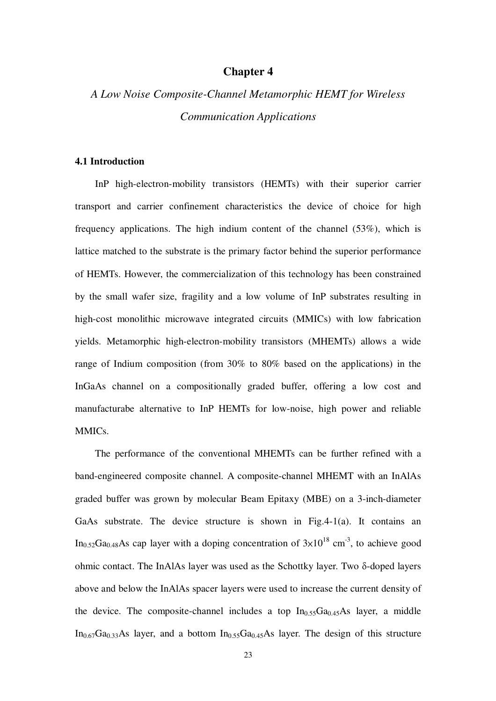## **Chapter 4**

# *A Low Noise Composite-Channel Metamorphic HEMT for Wireless Communication Applications*

## **4.1 Introduction**

InP high-electron-mobility transistors (HEMTs) with their superior carrier transport and carrier confinement characteristics the device of choice for high frequency applications. The high indium content of the channel (53%), which is lattice matched to the substrate is the primary factor behind the superior performance of HEMTs. However, the commercialization of this technology has been constrained by the small wafer size, fragility and a low volume of InP substrates resulting in high-cost monolithic microwave integrated circuits (MMICs) with low fabrication yields. Metamorphic high-electron-mobility transistors (MHEMTs) allows a wide range of Indium composition (from 30% to 80% based on the applications) in the InGaAs channel on a compositionally graded buffer, offering a low cost and manufacturabe alternative to InP HEMTs for low-noise, high power and reliable MMICs.

The performance of the conventional MHEMTs can be further refined with a band-engineered composite channel. A composite-channel MHEMT with an InAlAs graded buffer was grown by molecular Beam Epitaxy (MBE) on a 3-inch-diameter GaAs substrate. The device structure is shown in Fig.4-1(a). It contains an In<sub>0.52</sub>Ga<sub>0.48</sub>As cap layer with a doping concentration of  $3\times10^{18}$  cm<sup>-3</sup>, to achieve good ohmic contact. The InAlAs layer was used as the Schottky layer. Two δ-doped layers above and below the InAlAs spacer layers were used to increase the current density of the device. The composite-channel includes a top  $In<sub>0.55</sub>Ga<sub>0.45</sub>As layer, a middle$  $In<sub>0.67</sub>Ga<sub>0.33</sub>As layer, and a bottom  $In<sub>0.55</sub>Ga<sub>0.45</sub>As layer. The design of this structure$$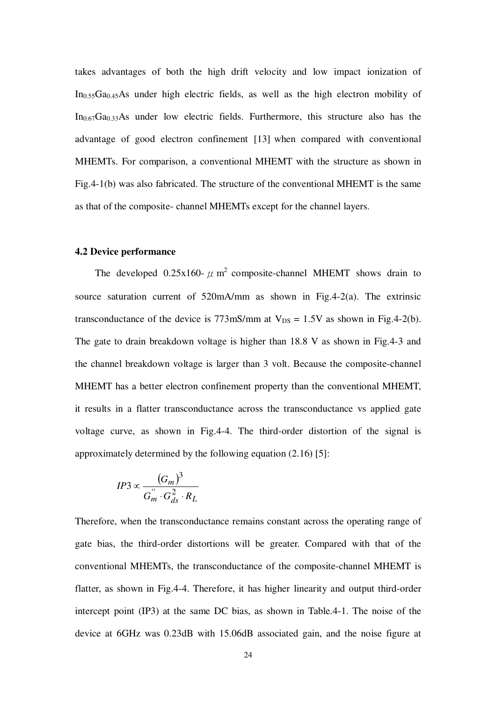takes advantages of both the high drift velocity and low impact ionization of  $In<sub>0.55</sub>Ga<sub>0.45</sub>As$  under high electric fields, as well as the high electron mobility of  $In<sub>0.67</sub>Ga<sub>0.33</sub>As$  under low electric fields. Furthermore, this structure also has the advantage of good electron confinement [13] when compared with conventional MHEMTs. For comparison, a conventional MHEMT with the structure as shown in Fig.4-1(b) was also fabricated. The structure of the conventional MHEMT is the same as that of the composite- channel MHEMTs except for the channel layers.

### **4.2 Device performance**

The developed 0.25x160-  $\mu$  m<sup>2</sup> composite-channel MHEMT shows drain to source saturation current of 520mA/mm as shown in Fig.4-2(a). The extrinsic transconductance of the device is  $773 \text{mS/mm}$  at  $V_{DS} = 1.5 \text{V}$  as shown in Fig.4-2(b). The gate to drain breakdown voltage is higher than 18.8 V as shown in Fig.4-3 and the channel breakdown voltage is larger than 3 volt. Because the composite-channel MHEMT has a better electron confinement property than the conventional MHEMT, it results in a flatter transconductance across the transconductance vs applied gate voltage curve, as shown in Fig.4-4. The third-order distortion of the signal is approximately determined by the following equation (2.16) [5]:

$$
IP3 \propto \frac{(G_m)^3}{G_m^{''} \cdot G_{ds}^2 \cdot R_L}
$$

Therefore, when the transconductance remains constant across the operating range of gate bias, the third-order distortions will be greater. Compared with that of the conventional MHEMTs, the transconductance of the composite-channel MHEMT is flatter, as shown in Fig.4-4. Therefore, it has higher linearity and output third-order intercept point (IP3) at the same DC bias, as shown in Table.4-1. The noise of the device at 6GHz was 0.23dB with 15.06dB associated gain, and the noise figure at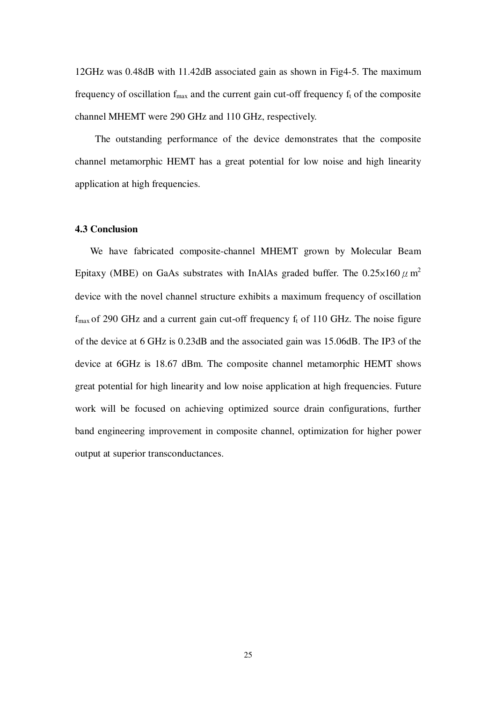12GHz was 0.48dB with 11.42dB associated gain as shown in Fig4-5. The maximum frequency of oscillation  $f_{\text{max}}$  and the current gain cut-off frequency  $f_t$  of the composite channel MHEMT were 290 GHz and 110 GHz, respectively.

The outstanding performance of the device demonstrates that the composite channel metamorphic HEMT has a great potential for low noise and high linearity application at high frequencies.

### **4.3 Conclusion**

We have fabricated composite-channel MHEMT grown by Molecular Beam Epitaxy (MBE) on GaAs substrates with InAlAs graded buffer. The  $0.25\times160\,\mu$  m<sup>2</sup> device with the novel channel structure exhibits a maximum frequency of oscillation  $f_{\text{max}}$  of 290 GHz and a current gain cut-off frequency  $f_t$  of 110 GHz. The noise figure of the device at 6 GHz is 0.23dB and the associated gain was 15.06dB. The IP3 of the device at 6GHz is 18.67 dBm. The composite channel metamorphic HEMT shows great potential for high linearity and low noise application at high frequencies. Future work will be focused on achieving optimized source drain configurations, further band engineering improvement in composite channel, optimization for higher power output at superior transconductances.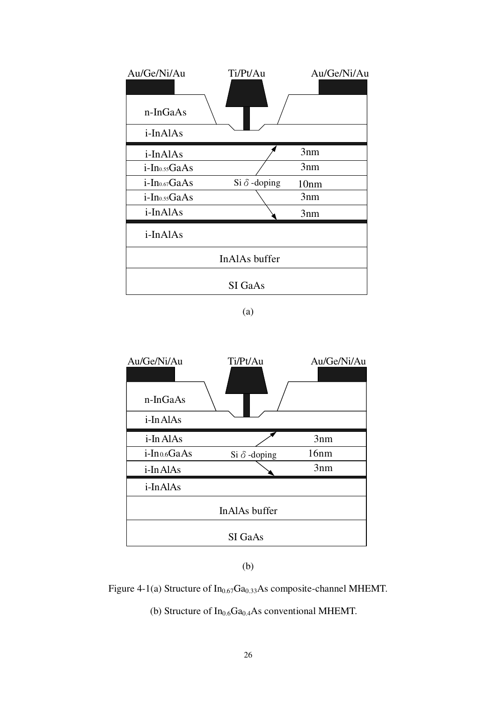| Au/Ge/Ni/Au               | Ti/Pt/Au            | Au/Ge/Ni/Au |  |  |  |  |
|---------------------------|---------------------|-------------|--|--|--|--|
| n-InGaAs                  |                     |             |  |  |  |  |
|                           |                     |             |  |  |  |  |
| i-InAlAs                  |                     |             |  |  |  |  |
| i-InAlAs                  |                     | 3nm         |  |  |  |  |
| i-In <sub>0.55</sub> GaAs |                     | 3nm         |  |  |  |  |
| i-In <sub>0.67</sub> GaAs | Si $\delta$ -doping | 10nm        |  |  |  |  |
| i-In <sub>0.55</sub> GaAs |                     | 3nm         |  |  |  |  |
| i-InAlAs                  |                     | 3nm         |  |  |  |  |
| i-InAlAs                  |                     |             |  |  |  |  |
| InAlAs buffer             |                     |             |  |  |  |  |
| SI GaAs                   |                     |             |  |  |  |  |



## (b)

## Figure 4-1(a) Structure of  $In<sub>0.67</sub>Ga<sub>0.33</sub>As composite-channel MHEMT.$

(b) Structure of  $In_{0.6}Ga_{0.4}As$  conventional MHEMT.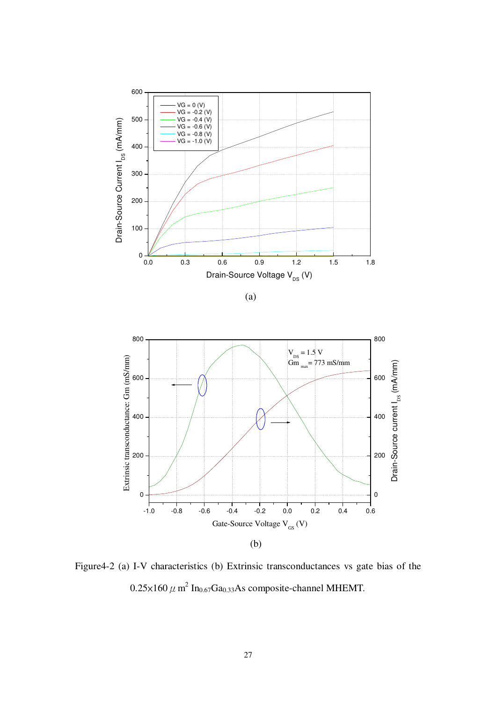



Figure4-2 (a) I-V characteristics (b) Extrinsic transconductances vs gate bias of the  $0.25\times160$   $\mu$  m<sup>2</sup> In<sub>0.67</sub>Ga<sub>0.33</sub>As composite-channel MHEMT.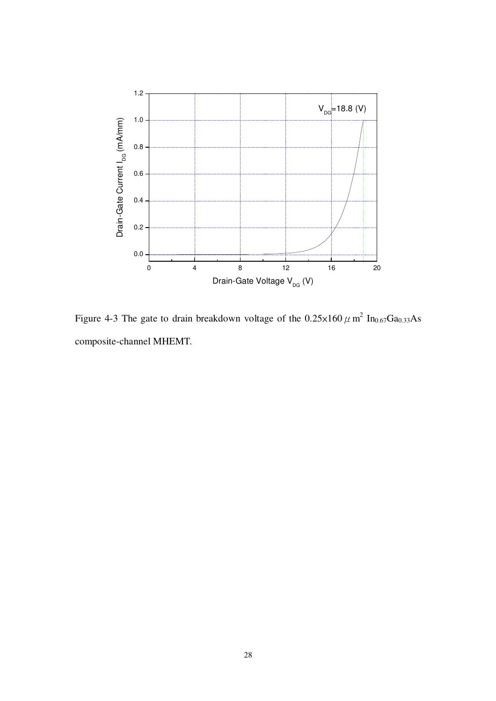

Figure 4-3 The gate to drain breakdown voltage of the  $0.25 \times 160 \mu$  m<sup>2</sup> In<sub>0.67</sub>Ga<sub>0.33</sub>As composite-channel MHEMT.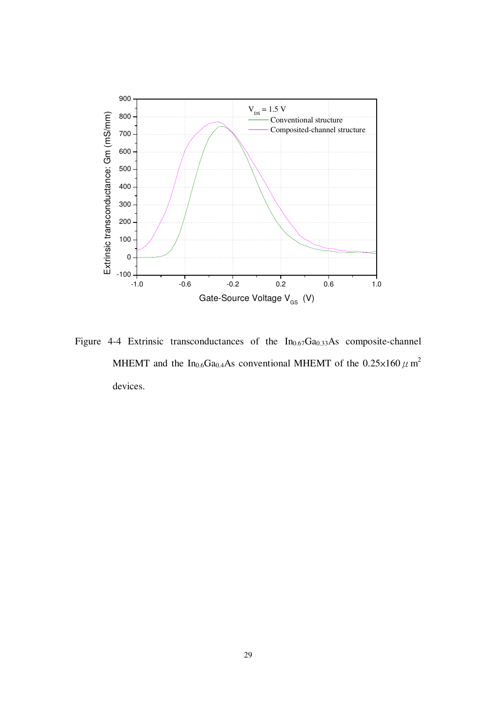

Figure 4-4 Extrinsic transconductances of the  $In_{0.67}Ga_{0.33}As$  composite-channel MHEMT and the In<sub>0.6</sub>Ga<sub>0.4</sub>As conventional MHEMT of the  $0.25 \times 160 \,\mu$  m<sup>2</sup> devices.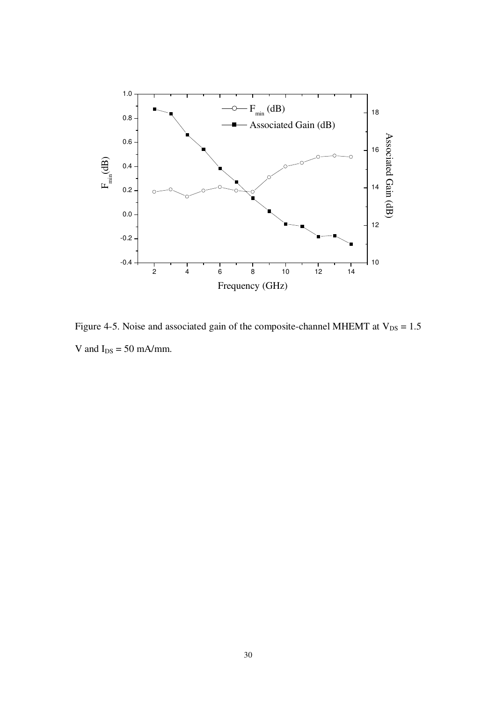

Figure 4-5. Noise and associated gain of the composite-channel MHEMT at  $V_{DS} = 1.5$ V and  $I_{DS} = 50$  mA/mm.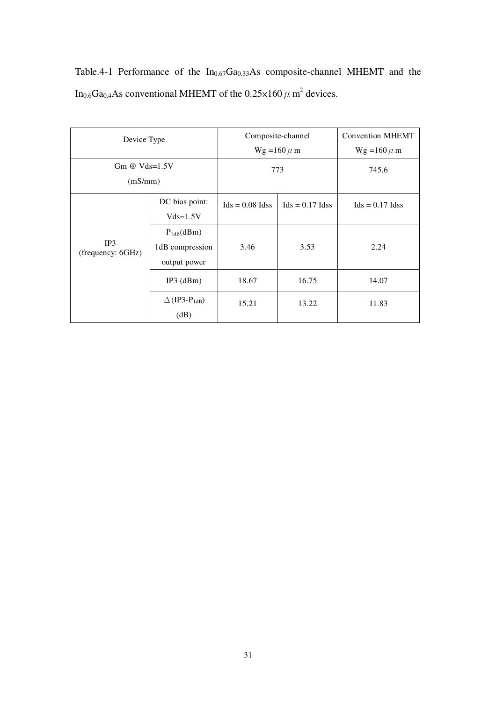|  |  | Table.4-1 Performance of the $In_{0.67}Ga_{0.33}As$ composite-channel MHEMT and the                              |  |  |
|--|--|------------------------------------------------------------------------------------------------------------------|--|--|
|  |  | In <sub>0.6</sub> Ga <sub>0.4</sub> As conventional MHEMT of the 0.25 $\times$ 160 $\mu$ m <sup>2</sup> devices. |  |  |

| Device Type              |                                  |                   | Composite-channel | <b>Convention MHEMT</b> |  |
|--------------------------|----------------------------------|-------------------|-------------------|-------------------------|--|
|                          |                                  |                   | $Wg = 160 \mu m$  | $Wg = 160 \mu m$        |  |
| Gm @ $Vds=1.5V$          |                                  | 773               |                   | 745.6                   |  |
| (mS/mm)                  |                                  |                   |                   |                         |  |
|                          | DC bias point:                   | $Ids = 0.08$ Idss | $Ids = 0.17$ Idss | $Ids = 0.17$ Idss       |  |
|                          | $Vds = 1.5V$                     |                   |                   |                         |  |
|                          | $P_{1dB}(dBm)$                   |                   |                   |                         |  |
| IP3<br>(frequency: 6GHz) | 1dB compression                  | 3.46              | 3.53              | 2.24                    |  |
|                          | output power                     |                   |                   |                         |  |
|                          | $IP3$ (dBm)                      | 18.67             | 16.75             | 14.07                   |  |
|                          | $\Delta$ (IP3-P <sub>1dB</sub> ) | 15.21             | 13.22             | 11.83                   |  |
|                          | (dB)                             |                   |                   |                         |  |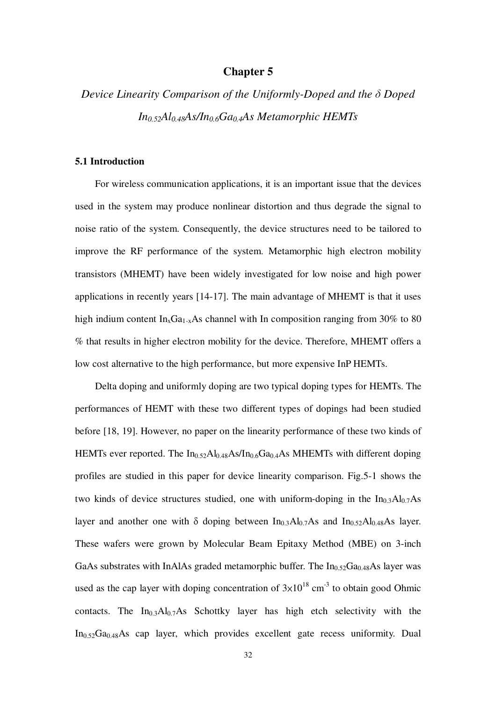## **Chapter 5**

# *Device Linearity Comparison of the Uniformly-Doped and the* δ *Doped In0.52Al0.48As/In0.6Ga0.4As Metamorphic HEMTs*

### **5.1 Introduction**

For wireless communication applications, it is an important issue that the devices used in the system may produce nonlinear distortion and thus degrade the signal to noise ratio of the system. Consequently, the device structures need to be tailored to improve the RF performance of the system. Metamorphic high electron mobility transistors (MHEMT) have been widely investigated for low noise and high power applications in recently years [14-17]. The main advantage of MHEMT is that it uses high indium content  $In_xGa_{1-x}As$  channel with In composition ranging from 30% to 80 % that results in higher electron mobility for the device. Therefore, MHEMT offers a low cost alternative to the high performance, but more expensive InP HEMTs.

Delta doping and uniformly doping are two typical doping types for HEMTs. The performances of HEMT with these two different types of dopings had been studied before [18, 19]. However, no paper on the linearity performance of these two kinds of HEMTs ever reported. The  $In<sub>0.52</sub>Al<sub>0.48</sub>As/In<sub>0.6</sub>Ga<sub>0.4</sub>As MHEMTs with different doping$ profiles are studied in this paper for device linearity comparison. Fig.5-1 shows the two kinds of device structures studied, one with uniform-doping in the  $In_{0,3}Al_{0,7}As$ layer and another one with δ doping between  $In_{0,3}Al_{0,7}As$  and  $In_{0,52}Al_{0,48}As$  layer. These wafers were grown by Molecular Beam Epitaxy Method (MBE) on 3-inch GaAs substrates with InAlAs graded metamorphic buffer. The  $In<sub>0.52</sub>Ga<sub>0.48</sub>As$  layer was used as the cap layer with doping concentration of  $3\times10^{18}$  cm<sup>-3</sup> to obtain good Ohmic contacts. The  $In<sub>0.3</sub>Al<sub>0.7</sub>As$  Schottky layer has high etch selectivity with the  $In<sub>0.52</sub>Ga<sub>0.48</sub>As$  cap layer, which provides excellent gate recess uniformity. Dual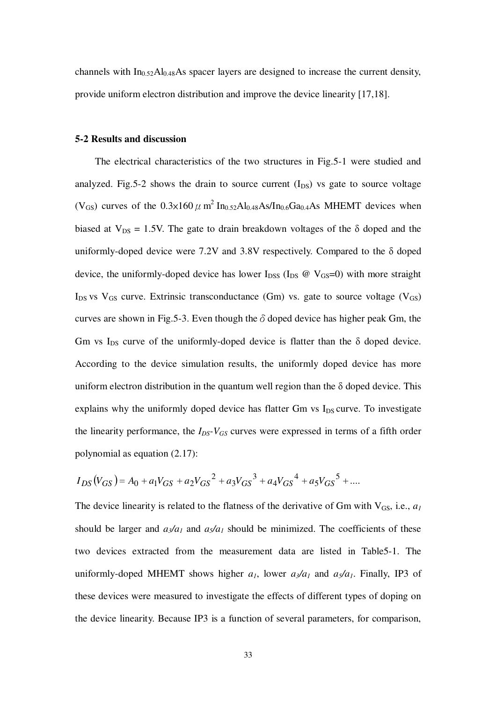channels with  $In<sub>0.52</sub>Al<sub>0.48</sub>As$  spacecraft layers are designed to increase the current density,provide uniform electron distribution and improve the device linearity [17,18].

#### **5-2 Results and discussion**

The electrical characteristics of the two structures in Fig.5-1 were studied and analyzed. Fig. 5-2 shows the drain to source current  $(I_{DS})$  vs gate to source voltage (V<sub>GS</sub>) curves of the  $0.3\times160\,\mu$  m<sup>2</sup> In<sub>0.52</sub>Al<sub>0.48</sub>As/In<sub>0.6</sub>Ga<sub>0.4</sub>As MHEMT devices when biased at  $V_{DS} = 1.5V$ . The gate to drain breakdown voltages of the  $\delta$  doped and the uniformly-doped device were 7.2V and 3.8V respectively. Compared to the  $\delta$  doped device, the uniformly-doped device has lower  $I_{DSS}$  ( $I_{DS}$  @  $V_{GS}=0$ ) with more straight  $I_{DS}$  vs  $V_{GS}$  curve. Extrinsic transconductance (Gm) vs. gate to source voltage ( $V_{GS}$ ) curves are shown in Fig.5-3. Even though the  $\delta$  doped device has higher peak Gm, the Gm vs I<sub>DS</sub> curve of the uniformly-doped device is flatter than the  $\delta$  doped device. According to the device simulation results, the uniformly doped device has more uniform electron distribution in the quantum well region than the  $\delta$  doped device. This explains why the uniformly doped device has flatter Gm vs  $I_{DS}$  curve. To investigate the linearity performance, the  $I_{DS}$ - $V_{GS}$  curves were expressed in terms of a fifth order polynomial as equation (2.17):

$$
I_{DS}(V_{GS}) = A_0 + a_1 V_{GS} + a_2 V_{GS}^2 + a_3 V_{GS}^3 + a_4 V_{GS}^4 + a_5 V_{GS}^5 + \dots
$$

The device linearity is related to the flatness of the derivative of Gm with  $V_{GS}$ , i.e.,  $a_I$ should be larger and  $a_3/a_1$  and  $a_5/a_1$  should be minimized. The coefficients of these two devices extracted from the measurement data are listed in Table5-1. The uniformly-doped MHEMT shows higher  $a_1$ , lower  $a_3/a_1$  and  $a_5/a_1$ . Finally, IP3 of these devices were measured to investigate the effects of different types of doping on the device linearity. Because IP3 is a function of several parameters, for comparison,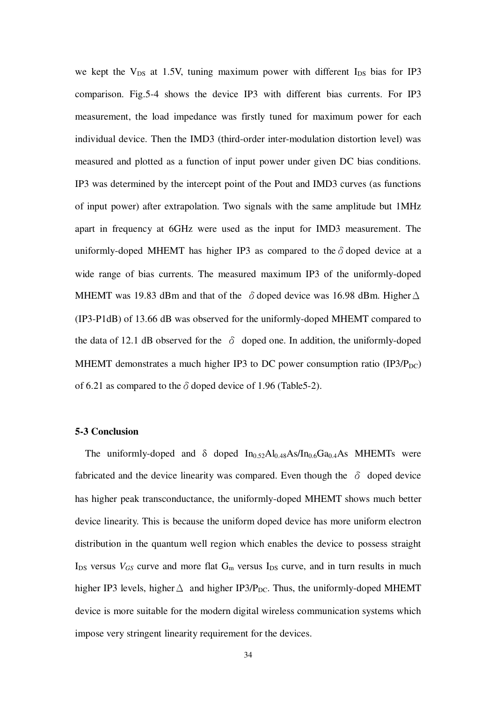we kept the  $V_{DS}$  at 1.5V, tuning maximum power with different  $I_{DS}$  bias for IP3 comparison. Fig.5-4 shows the device IP3 with different bias currents. For IP3 measurement, the load impedance was firstly tuned for maximum power for each individual device. Then the IMD3 (third-order inter-modulation distortion level) was measured and plotted as a function of input power under given DC bias conditions. IP3 was determined by the intercept point of the Pout and IMD3 curves (as functions of input power) after extrapolation. Two signals with the same amplitude but 1MHz apart in frequency at 6GHz were used as the input for IMD3 measurement. The uniformly-doped MHEMT has higher IP3 as compared to the  $\delta$  doped device at a wide range of bias currents. The measured maximum IP3 of the uniformly-doped MHEMT was 19.83 dBm and that of the  $\delta$  doped device was 16.98 dBm. Higher  $\Delta$ (IP3-P1dB) of 13.66 dB was observed for the uniformly-doped MHEMT compared to the data of 12.1 dB observed for the  $\delta$  doped one. In addition, the uniformly-doped MHEMT demonstrates a much higher IP3 to DC power consumption ratio  $(IP3/P<sub>DC</sub>)$ of 6.21 as compared to the  $\delta$  doped device of 1.96 (Table5-2).

### **5-3 Conclusion**

The uniformly-doped and  $\delta$  doped  $In_{0.52}Al_{0.48}As/In_{0.6}Ga_{0.4}As$  MHEMTs were fabricated and the device linearity was compared. Even though the  $\delta$  doped device has higher peak transconductance, the uniformly-doped MHEMT shows much better device linearity. This is because the uniform doped device has more uniform electron distribution in the quantum well region which enables the device to possess straight  $I_{DS}$  versus  $V_{GS}$  curve and more flat  $G_m$  versus  $I_{DS}$  curve, and in turn results in much higher IP3 levels, higher  $\Delta$  and higher IP3/P<sub>DC</sub>. Thus, the uniformly-doped MHEMT device is more suitable for the modern digital wireless communication systems which impose very stringent linearity requirement for the devices.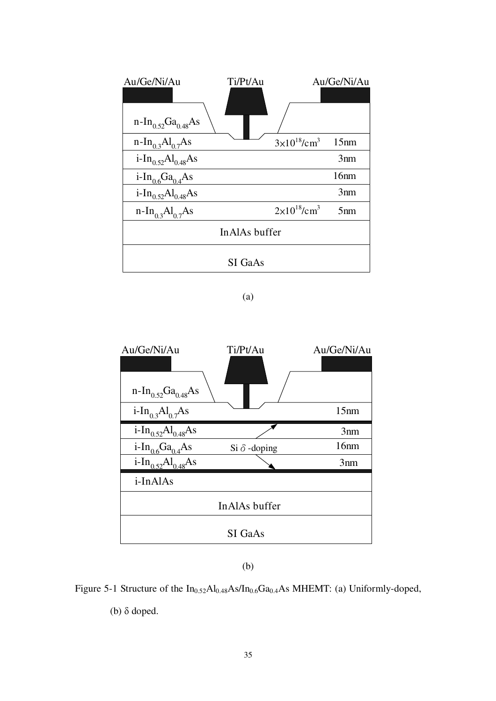| Au/Ge/Ni/Au                                | Ti/Pt/Au |                                   | Au/Ge/Ni/Au     |  |  |  |
|--------------------------------------------|----------|-----------------------------------|-----------------|--|--|--|
|                                            |          |                                   |                 |  |  |  |
| $n-In_{0.52}Ga_{0.48}As$                   |          |                                   |                 |  |  |  |
| $n-In_{0.3}Al_{0.7}As$                     |          | $3\times10^{18}$ /cm <sup>3</sup> | 15nm            |  |  |  |
| i-In <sub>0.52</sub> Al <sub>0.48</sub> As |          |                                   | 3nm             |  |  |  |
| $i-In_06Ga_04As$                           |          |                                   | 16nm            |  |  |  |
| i-In <sub>0.52</sub> Al <sub>0.48</sub> As |          |                                   | 3nm             |  |  |  |
| $n-In_{03}Al_{07}As$                       |          | $2\times10^{18}$ /cm <sup>3</sup> | 5 <sub>nm</sub> |  |  |  |
| In AlAs buffer                             |          |                                   |                 |  |  |  |
| SI GaAs                                    |          |                                   |                 |  |  |  |



## (b)

# Figure 5-1 Structure of the  $In<sub>0.52</sub>Al<sub>0.48</sub>As/In<sub>0.6</sub>Ga<sub>0.4</sub>As MHEMT: (a) Uniformly-doped,$

(b) δ doped.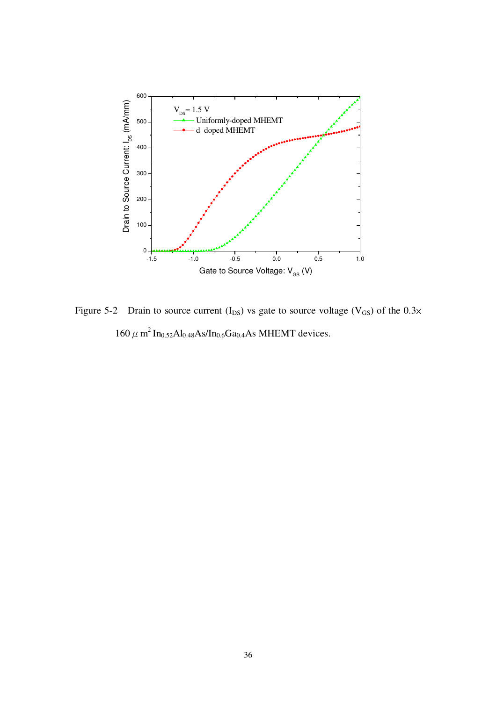

Figure 5-2 Drain to source current  $(I_{DS})$  vs gate to source voltage  $(V_{GS})$  of the 0.3x  $160 \mu$  m<sup>2</sup> In<sub>0.52</sub>Al<sub>0.48</sub>As/In<sub>0.6</sub>Ga<sub>0.4</sub>As MHEMT devices.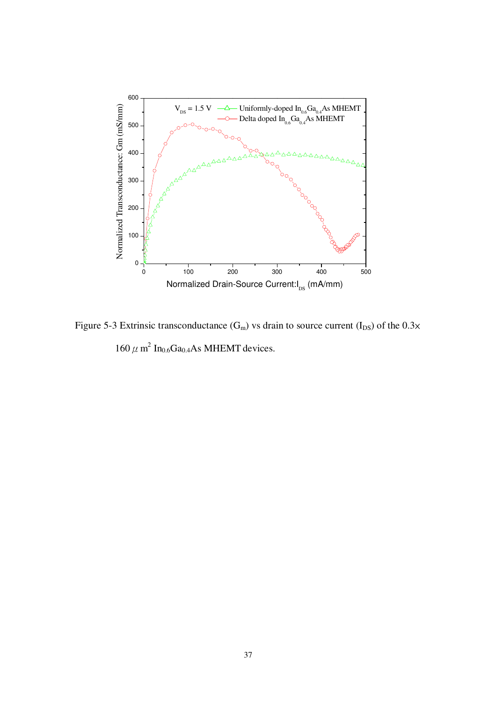

Figure 5-3 Extrinsic transconductance  $(G_m)$  vs drain to source current  $(I_{DS})$  of the 0.3 $\times$  $160 \mu$  m<sup>2</sup> In<sub>0.6</sub>Ga<sub>0.4</sub>As MHEMT devices.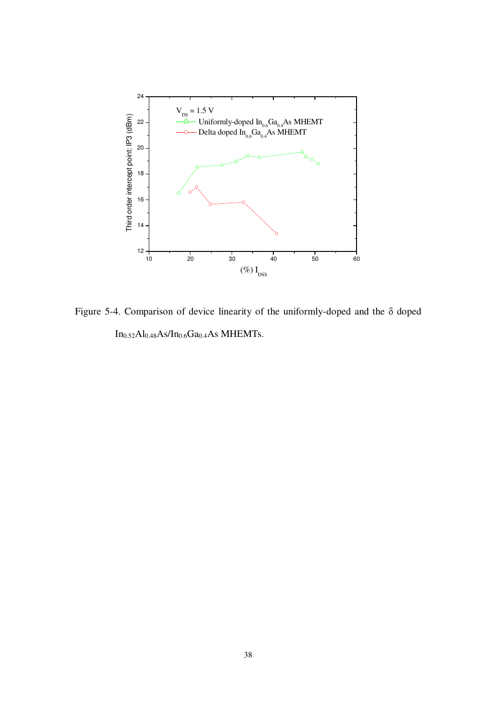

Figure 5-4. Comparison of device linearity of the uniformly-doped and the δ doped  $In_{0.52}Al_{0.48}As/In_{0.6}Ga_{0.4}As$  MHEMTs.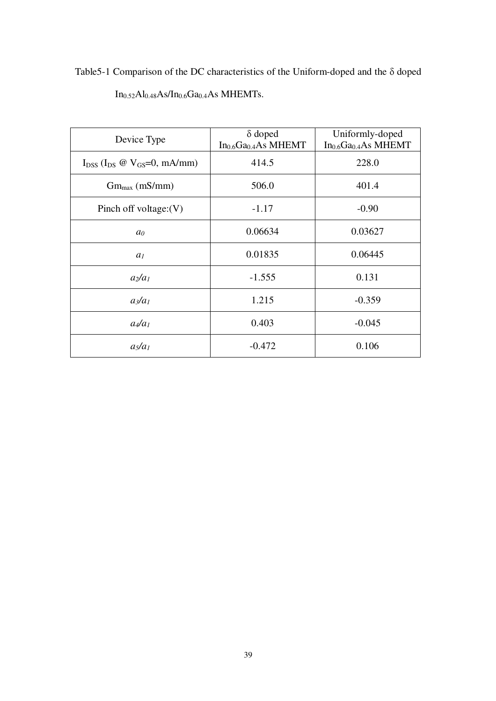Table5-1 Comparison of the DC characteristics of the Uniform-doped and the δ doped  $In<sub>0.52</sub>Al<sub>0.48</sub>As/In<sub>0.6</sub>Ga<sub>0.4</sub>As MHEMTs.$ 

| Device Type                                | $\delta$ doped<br>$In0.6Ga0.4As MHEMT$ | Uniformly-doped<br>$In0.6Ga0.4As MHEMT$ |
|--------------------------------------------|----------------------------------------|-----------------------------------------|
| $I_{DSS}$ ( $I_{DS}$ @ $V_{GS}=0$ , mA/mm) | 414.5                                  | 228.0                                   |
| $Gm_{max}$ (mS/mm)                         | 506.0                                  | 401.4                                   |
| Pinch off voltage: $(V)$                   | $-1.17$                                | $-0.90$                                 |
| a <sub>0</sub>                             | 0.06634                                | 0.03627                                 |
| a <sub>1</sub>                             | 0.01835                                | 0.06445                                 |
| $a_2/a_1$                                  | $-1.555$                               | 0.131                                   |
| $a_3/a_1$                                  | 1.215                                  | $-0.359$                                |
| $a_4/a_1$                                  | 0.403                                  | $-0.045$                                |
| $a_5/a_1$                                  | $-0.472$                               | 0.106                                   |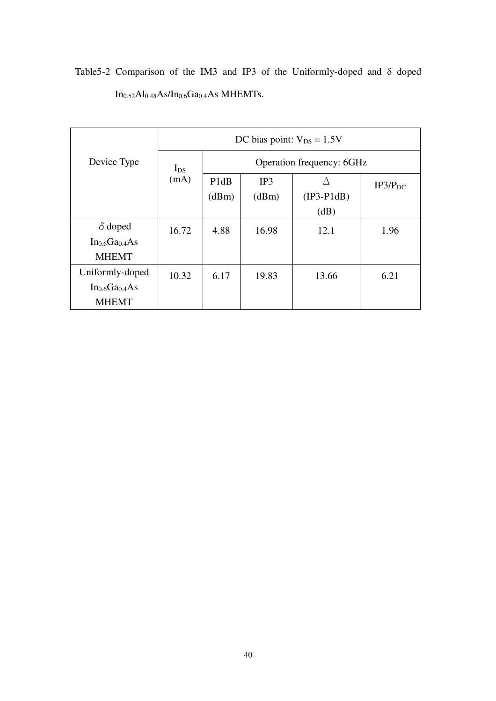|                                        | DC bias point: $V_{DS} = 1.5V$ |                                      |       |              |                     |  |
|----------------------------------------|--------------------------------|--------------------------------------|-------|--------------|---------------------|--|
| Device Type                            | $I_{DS}$                       | Operation frequency: 6GHz            |       |              |                     |  |
|                                        | (mA)                           | P <sub>1</sub> d <sub>B</sub><br>IP3 |       |              | IP3/P <sub>DC</sub> |  |
|                                        |                                | (dBm)                                | (dBm) | $(IP3-P1dB)$ |                     |  |
|                                        |                                |                                      |       | (dB)         |                     |  |
| $\delta$ doped                         | 16.72                          | 4.88                                 | 16.98 | 12.1         | 1.96                |  |
| In <sub>0.6</sub> Ga <sub>0.4</sub> As |                                |                                      |       |              |                     |  |
| <b>MHEMT</b>                           |                                |                                      |       |              |                     |  |
| Uniformly-doped                        | 10.32                          | 6.17                                 | 19.83 | 13.66        | 6.21                |  |
| In <sub>0.6</sub> Ga <sub>0.4</sub> As |                                |                                      |       |              |                     |  |
| <b>MHEMT</b>                           |                                |                                      |       |              |                     |  |

Table5-2 Comparison of the IM3 and IP3 of the Uniformly-doped and δ doped  $In_{0.52}Al_{0.48}As/In_{0.6}Ga_{0.4}As$  MHEMTs.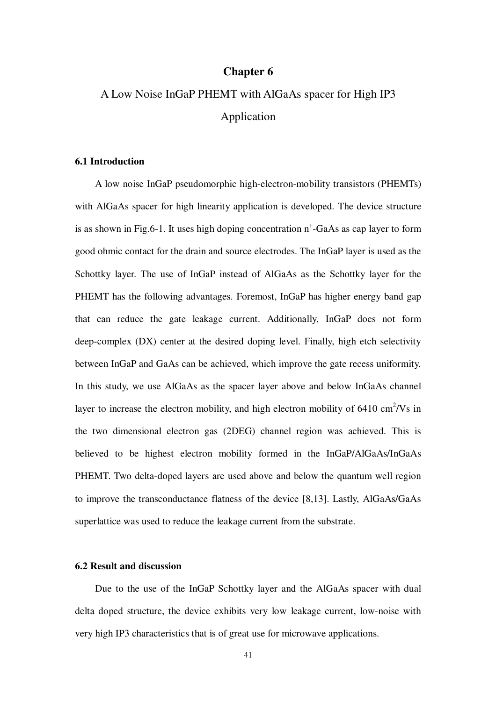## **Chapter 6**

# A Low Noise InGaP PHEMT with AlGaAs spacer for High IP3 Application

### **6.1 Introduction**

A low noise InGaP pseudomorphic high-electron-mobility transistors (PHEMTs) with AlGaAs spacer for high linearity application is developed. The device structure is as shown in Fig.6-1. It uses high doping concentration n<sup>+</sup>-GaAs as cap layer to form good ohmic contact for the drain and source electrodes. The InGaP layer is used as the Schottky layer. The use of InGaP instead of AlGaAs as the Schottky layer for the PHEMT has the following advantages. Foremost, InGaP has higher energy band gap that can reduce the gate leakage current. Additionally, InGaP does not form deep-complex (DX) center at the desired doping level. Finally, high etch selectivity between InGaP and GaAs can be achieved, which improve the gate recess uniformity. In this study, we use AlGaAs as the spacer layer above and below InGaAs channel layer to increase the electron mobility, and high electron mobility of  $6410 \text{ cm}^2/\text{Vs}$  in the two dimensional electron gas (2DEG) channel region was achieved. This is believed to be highest electron mobility formed in the InGaP/AlGaAs/InGaAs PHEMT. Two delta-doped layers are used above and below the quantum well region to improve the transconductance flatness of the device [8,13]. Lastly, AlGaAs/GaAs superlattice was used to reduce the leakage current from the substrate.

### **6.2 Result and discussion**

Due to the use of the InGaP Schottky layer and the AlGaAs spacer with dual delta doped structure, the device exhibits very low leakage current, low-noise with very high IP3 characteristics that is of great use for microwave applications.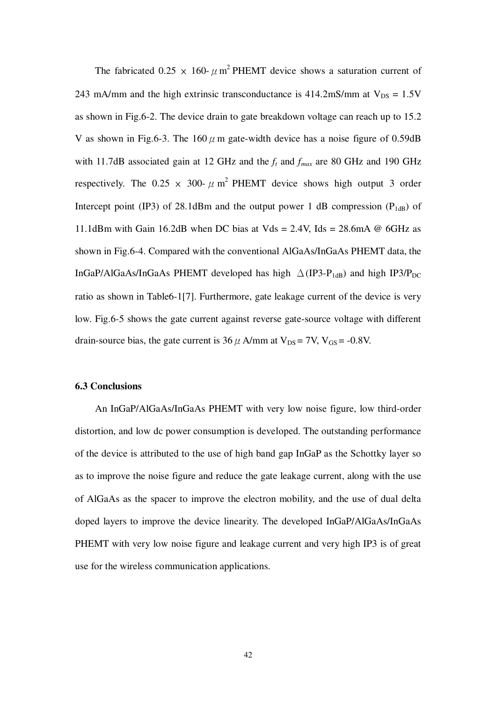The fabricated 0.25  $\times$  160-  $\mu$  m<sup>2</sup> PHEMT device shows a saturation current of 243 mA/mm and the high extrinsic transconductance is  $414.2 \text{mS/mm}$  at  $V_{DS} = 1.5 \text{V}$ as shown in Fig.6-2. The device drain to gate breakdown voltage can reach up to 15.2 V as shown in Fig.6-3. The  $160 \mu$  m gate-width device has a noise figure of 0.59dB with 11.7dB associated gain at 12 GHz and the *f<sup>t</sup>* and *fmax* are 80 GHz and 190 GHz respectively. The 0.25  $\times$  300-  $\mu$  m<sup>2</sup> PHEMT device shows high output 3 order Intercept point (IP3) of 28.1dBm and the output power 1 dB compression ( $P_{1dB}$ ) of 11.1dBm with Gain 16.2dB when DC bias at Vds = 2.4V, Ids = 28.6mA  $\omega$  6GHz as shown in Fig.6-4. Compared with the conventional AlGaAs/InGaAs PHEMT data, the InGaP/AlGaAs/InGaAs PHEMT developed has high  $\triangle$  (IP3-P<sub>1dB</sub>) and high IP3/P<sub>DC</sub> ratio as shown in Table6-1[7]. Furthermore, gate leakage current of the device is very low. Fig.6-5 shows the gate current against reverse gate-source voltage with different drain-source bias, the gate current is  $36 \mu$  A/mm at  $V_{DS} = 7V$ ,  $V_{GS} = -0.8V$ .

#### **6.3 Conclusions**

An InGaP/AlGaAs/InGaAs PHEMT with very low noise figure, low third-order distortion, and low dc power consumption is developed. The outstanding performance of the device is attributed to the use of high band gap InGaP as the Schottky layer so as to improve the noise figure and reduce the gate leakage current, along with the use of AlGaAs as the spacer to improve the electron mobility, and the use of dual delta doped layers to improve the device linearity. The developed InGaP/AlGaAs/InGaAs PHEMT with very low noise figure and leakage current and very high IP3 is of great use for the wireless communication applications.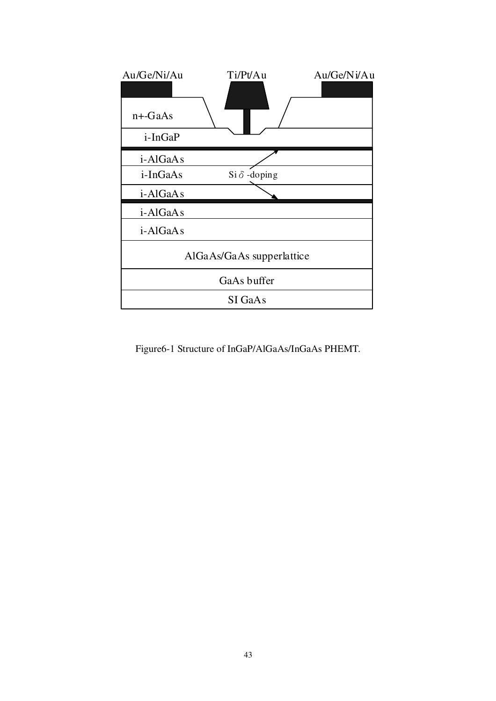| Au/Ge/Ni/Au<br>$n +$ -GaAs | Ti/Pt/Au                  | Au/Ge/Ni/Au |
|----------------------------|---------------------------|-------------|
| i-InGaP                    |                           |             |
| i-AlGaAs                   |                           |             |
| i-InGaAs                   | $Si \delta$ -doping       |             |
| i-AlGaAs                   |                           |             |
| i-AlGaAs                   |                           |             |
| i-AlGaAs                   |                           |             |
|                            | AlGaAs/GaAs supperlattice |             |
|                            | GaAs buffer               |             |
|                            | SI GaAs                   |             |

Figure6-1 Structure of InGaP/AlGaAs/InGaAs PHEMT.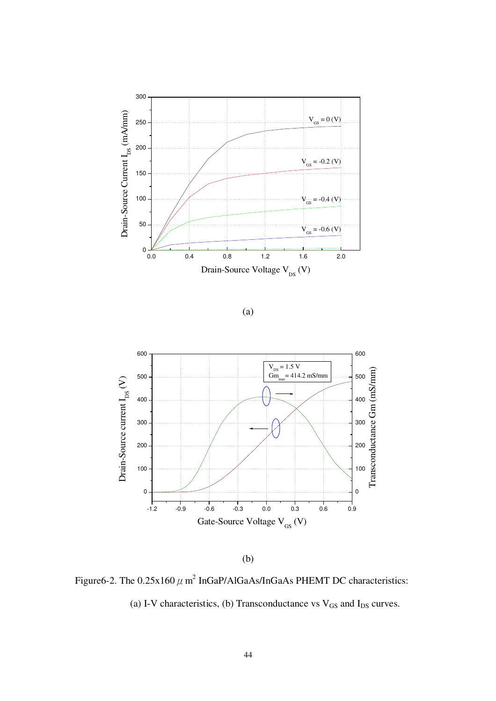



(b)

Figure6-2. The  $0.25x160 \mu$  m<sup>2</sup> InGaP/AlGaAs/InGaAs PHEMT DC characteristics:

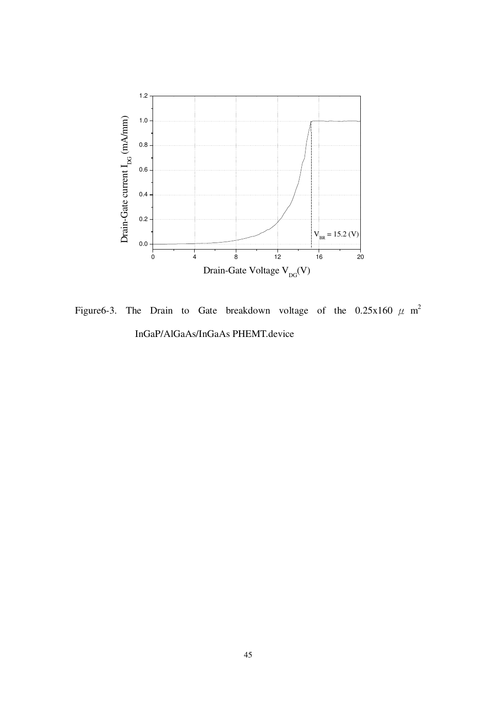

Figure6-3. The Drain to Gate breakdown voltage of the 0.25x160  $\mu$  m<sup>2</sup> InGaP/AlGaAs/InGaAs PHEMT.device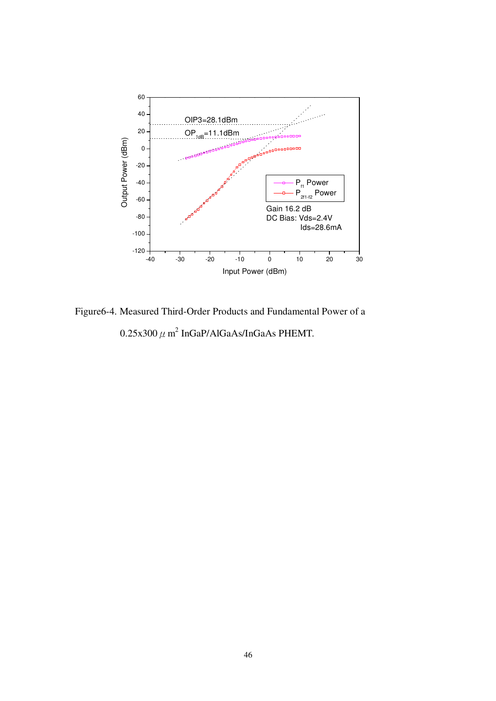

Figure6-4. Measured Third-Order Products and Fundamental Power of a  $0.25$ x300  $\mu$  m $^2$  InGaP/AlGaAs/InGaAs PHEMT.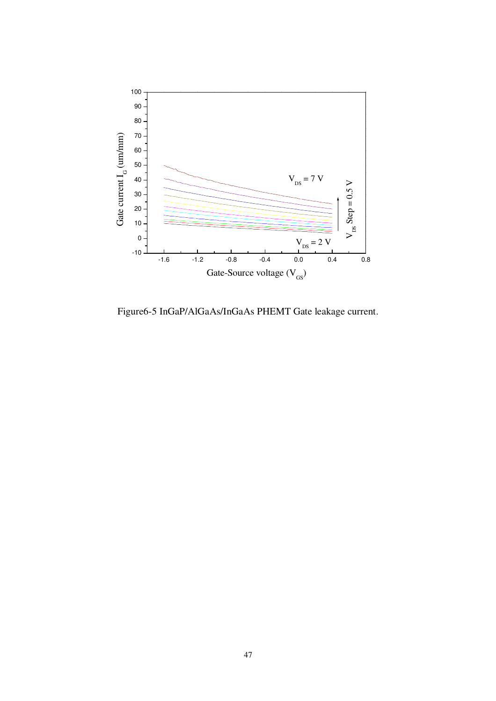

Figure6-5 InGaP/AlGaAs/InGaAs PHEMT Gate leakage current.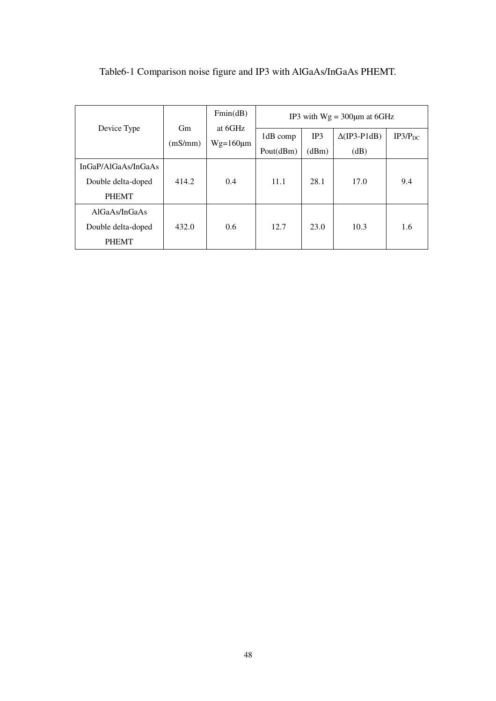|                     |         | Fmin(dB)       |           |       | IP3 with $Wg = 300 \mu m$ at 6GHz |              |
|---------------------|---------|----------------|-----------|-------|-----------------------------------|--------------|
| Device Type         | Gm      | at 6GHz        | 1dB comp  | IP3   | $\Delta$ (IP3-P1dB)               | $IP3/P_{DC}$ |
|                     | (mS/mm) | $Wg=160 \mu m$ | Pout(dBm) | (dBm) | (dB)                              |              |
| InGaP/AlGaAs/InGaAs |         |                |           |       |                                   |              |
| Double delta-doped  | 414.2   | 0.4            | 11.1      | 28.1  | 17.0                              | 9.4          |
| <b>PHEMT</b>        |         |                |           |       |                                   |              |
| AlGaAs/InGaAs       |         |                |           |       |                                   |              |
| Double delta-doped  | 432.0   | 0.6            | 12.7      | 23.0  | 10.3                              | 1.6          |
| <b>PHEMT</b>        |         |                |           |       |                                   |              |

Table6-1 Comparison noise figure and IP3 with AlGaAs/InGaAs PHEMT.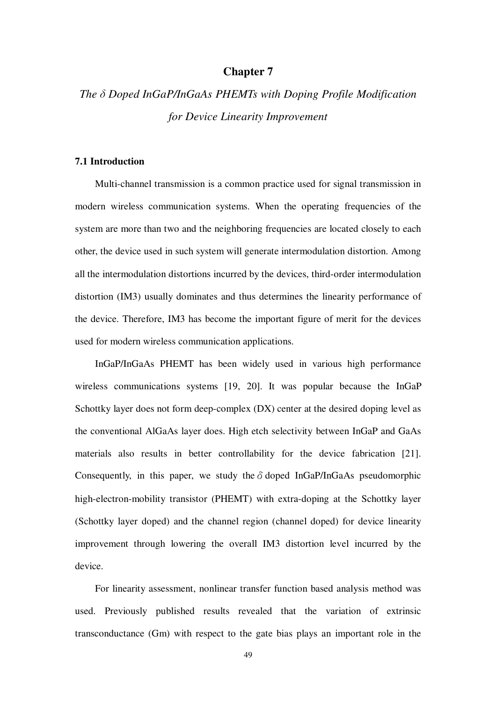## **Chapter 7**

# *The* δ *Doped InGaP/InGaAs PHEMTs with Doping Profile Modification for Device Linearity Improvement*

### **7.1 Introduction**

Multi-channel transmission is a common practice used for signal transmission in modern wireless communication systems. When the operating frequencies of the system are more than two and the neighboring frequencies are located closely to each other, the device used in such system will generate intermodulation distortion. Among all the intermodulation distortions incurred by the devices, third-order intermodulation distortion (IM3) usually dominates and thus determines the linearity performance of the device. Therefore, IM3 has become the important figure of merit for the devices used for modern wireless communication applications.

InGaP/InGaAs PHEMT has been widely used in various high performance wireless communications systems [19, 20]. It was popular because the InGaP Schottky layer does not form deep-complex (DX) center at the desired doping level as the conventional AlGaAs layer does. High etch selectivity between InGaP and GaAs materials also results in better controllability for the device fabrication [21]. Consequently, in this paper, we study the  $\delta$  doped InGaP/InGaAs pseudomorphic high-electron-mobility transistor (PHEMT) with extra-doping at the Schottky layer (Schottky layer doped) and the channel region (channel doped) for device linearity improvement through lowering the overall IM3 distortion level incurred by the device.

For linearity assessment, nonlinear transfer function based analysis method was used. Previously published results revealed that the variation of extrinsic transconductance (Gm) with respect to the gate bias plays an important role in the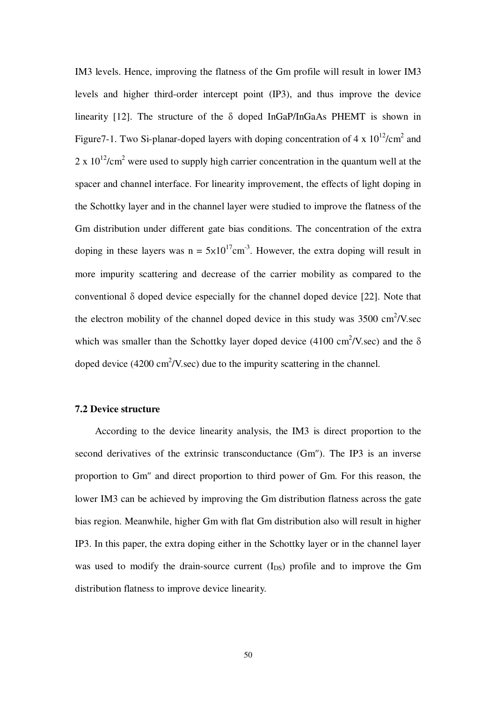IM3 levels. Hence, improving the flatness of the Gm profile will result in lower IM3 levels and higher third-order intercept point (IP3), and thus improve the device linearity [12]. The structure of the  $\delta$  doped InGaP/InGaAs PHEMT is shown in Figure7-1. Two Si-planar-doped layers with doping concentration of 4 x  $10^{12}/\text{cm}^2$  and 2 x  $10^{12}$ /cm<sup>2</sup> were used to supply high carrier concentration in the quantum well at the spacer and channel interface. For linearity improvement, the effects of light doping in the Schottky layer and in the channel layer were studied to improve the flatness of the Gm distribution under different gate bias conditions. The concentration of the extra doping in these layers was  $n = 5 \times 10^{17}$ cm<sup>-3</sup>. However, the extra doping will result in more impurity scattering and decrease of the carrier mobility as compared to the conventional δ doped device especially for the channel doped device [22]. Note that the electron mobility of the channel doped device in this study was  $3500 \text{ cm}^2/\text{V}$ .sec which was smaller than the Schottky layer doped device (4100 cm<sup>2</sup>/V.sec) and the  $\delta$ doped device  $(4200 \text{ cm}^2/\text{V} \cdot \text{sec})$  due to the impurity scattering in the channel.

### **7.2 Device structure**

According to the device linearity analysis, the IM3 is direct proportion to the second derivatives of the extrinsic transconductance (Gm″). The IP3 is an inverse proportion to Gm″ and direct proportion to third power of Gm. For this reason, the lower IM3 can be achieved by improving the Gm distribution flatness across the gate bias region. Meanwhile, higher Gm with flat Gm distribution also will result in higher IP3. In this paper, the extra doping either in the Schottky layer or in the channel layer was used to modify the drain-source current  $(I_{DS})$  profile and to improve the Gm distribution flatness to improve device linearity.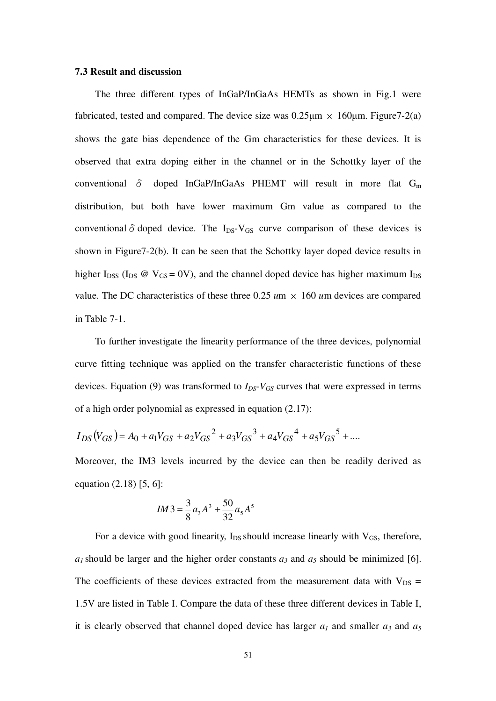#### **7.3 Result and discussion**

The three different types of InGaP/InGaAs HEMTs as shown in Fig.1 were fabricated, tested and compared. The device size was  $0.25\mu m \times 160\mu m$ . Figure 7-2(a) shows the gate bias dependence of the Gm characteristics for these devices. It is observed that extra doping either in the channel or in the Schottky layer of the conventional  $\delta$  doped InGaP/InGaAs PHEMT will result in more flat G<sub>m</sub> distribution, but both have lower maximum Gm value as compared to the conventional  $\delta$  doped device. The I<sub>DS</sub>-V<sub>GS</sub> curve comparison of these devices is shown in Figure7-2(b). It can be seen that the Schottky layer doped device results in higher I<sub>DSS</sub> (I<sub>DS</sub>  $\omega$  V<sub>GS</sub> = 0V), and the channel doped device has higher maximum I<sub>DS</sub> value. The DC characteristics of these three  $0.25 \text{ um} \times 160 \text{ um}$  devices are compared in Table 7-1.

To further investigate the linearity performance of the three devices, polynomial curve fitting technique was applied on the transfer characteristic functions of these devices. Equation (9) was transformed to  $I_{DS}$ - $V_{GS}$  curves that were expressed in terms of a high order polynomial as expressed in equation (2.17):

$$
I_{DS}(V_{GS}) = A_0 + a_1 V_{GS} + a_2 V_{GS}^2 + a_3 V_{GS}^3 + a_4 V_{GS}^4 + a_5 V_{GS}^5 + \dots
$$

Moreover, the IM3 levels incurred by the device can then be readily derived as equation (2.18) [5, 6]:

$$
IM3 = \frac{3}{8}a_3A^3 + \frac{50}{32}a_5A^5
$$

For a device with good linearity,  $I_{DS}$  should increase linearly with  $V_{GS}$ , therefore,  $a_1$  should be larger and the higher order constants  $a_3$  and  $a_5$  should be minimized [6]. The coefficients of these devices extracted from the measurement data with  $V_{DS}$  = 1.5V are listed in Table I. Compare the data of these three different devices in Table I, it is clearly observed that channel doped device has larger  $a_1$  and smaller  $a_3$  and  $a_5$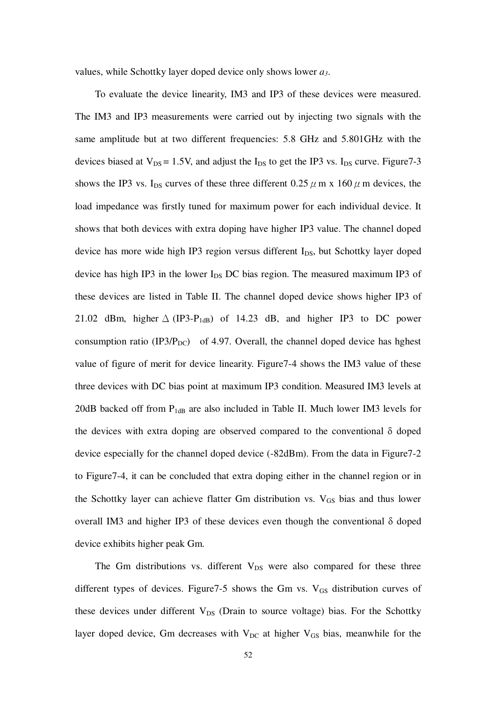values, while Schottky layer doped device only shows lower *a3*.

To evaluate the device linearity, IM3 and IP3 of these devices were measured. The IM3 and IP3 measurements were carried out by injecting two signals with the same amplitude but at two different frequencies: 5.8 GHz and 5.801GHz with the devices biased at  $V_{DS} = 1.5V$ , and adjust the  $I_{DS}$  to get the IP3 vs.  $I_{DS}$  curve. Figure 7-3 shows the IP3 vs. I<sub>DS</sub> curves of these three different 0.25  $\mu$  m x 160  $\mu$  m devices, the load impedance was firstly tuned for maximum power for each individual device. It shows that both devices with extra doping have higher IP3 value. The channel doped device has more wide high IP3 region versus different  $I_{DS}$ , but Schottky layer doped device has high IP3 in the lower  $I_{DS}$  DC bias region. The measured maximum IP3 of these devices are listed in Table II. The channel doped device shows higher IP3 of 21.02 dBm, higher  $\triangle$  (IP3-P<sub>1dB</sub>) of 14.23 dB, and higher IP3 to DC power consumption ratio (IP3/P<sub>DC</sub>) of 4.97. Overall, the channel doped device has hghest value of figure of merit for device linearity. Figure7-4 shows the IM3 value of these three devices with DC bias point at maximum IP3 condition. Measured IM3 levels at 20dB backed off from  $P_{1dB}$  are also included in Table II. Much lower IM3 levels for the devices with extra doping are observed compared to the conventional  $\delta$  doped device especially for the channel doped device (-82dBm). From the data in Figure7-2 to Figure7-4, it can be concluded that extra doping either in the channel region or in the Schottky layer can achieve flatter Gm distribution vs.  $V_{GS}$  bias and thus lower overall IM3 and higher IP3 of these devices even though the conventional δ doped device exhibits higher peak Gm.

The Gm distributions vs. different  $V_{DS}$  were also compared for these three different types of devices. Figure  $7-5$  shows the Gm vs.  $V_{GS}$  distribution curves of these devices under different  $V_{DS}$  (Drain to source voltage) bias. For the Schottky layer doped device, Gm decreases with  $V_{DC}$  at higher  $V_{GS}$  bias, meanwhile for the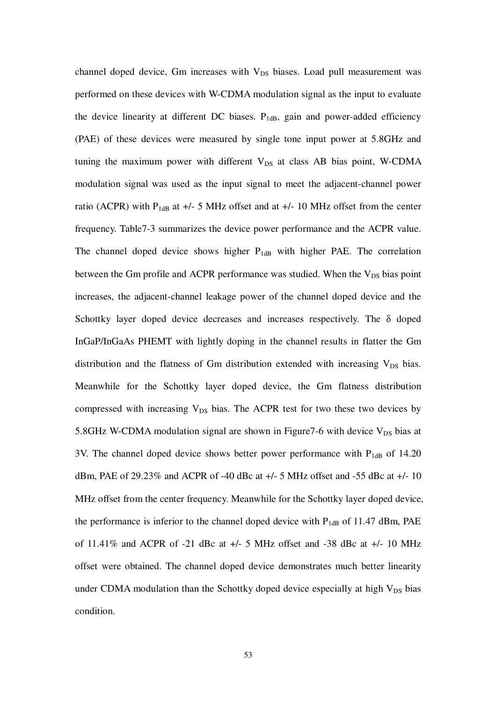channel doped device, Gm increases with  $V_{DS}$  biases. Load pull measurement was performed on these devices with W-CDMA modulation signal as the input to evaluate the device linearity at different DC biases.  $P_{1dB}$ , gain and power-added efficiency (PAE) of these devices were measured by single tone input power at 5.8GHz and tuning the maximum power with different  $V_{DS}$  at class AB bias point, W-CDMA modulation signal was used as the input signal to meet the adjacent-channel power ratio (ACPR) with  $P_{1dB}$  at  $+/-$  5 MHz offset and at  $+/-$  10 MHz offset from the center frequency. Table7-3 summarizes the device power performance and the ACPR value. The channel doped device shows higher  $P_{1dB}$  with higher PAE. The correlation between the Gm profile and ACPR performance was studied. When the  $V_{DS}$  bias point increases, the adjacent-channel leakage power of the channel doped device and the Schottky layer doped device decreases and increases respectively. The δ doped InGaP/InGaAs PHEMT with lightly doping in the channel results in flatter the Gm distribution and the flatness of Gm distribution extended with increasing  $V_{DS}$  bias. Meanwhile for the Schottky layer doped device, the Gm flatness distribution compressed with increasing  $V_{DS}$  bias. The ACPR test for two these two devices by 5.8GHz W-CDMA modulation signal are shown in Figure7-6 with device  $V_{DS}$  bias at 3V. The channel doped device shows better power performance with  $P_{1dB}$  of 14.20 dBm, PAE of 29.23% and ACPR of -40 dBc at  $+/-$  5 MHz offset and -55 dBc at  $+/-$  10 MHz offset from the center frequency. Meanwhile for the Schottky layer doped device, the performance is inferior to the channel doped device with  $P_{1dB}$  of 11.47 dBm, PAE of 11.41% and ACPR of -21 dBc at +/- 5 MHz offset and -38 dBc at +/- 10 MHz offset were obtained. The channel doped device demonstrates much better linearity under CDMA modulation than the Schottky doped device especially at high  $V_{DS}$  bias condition.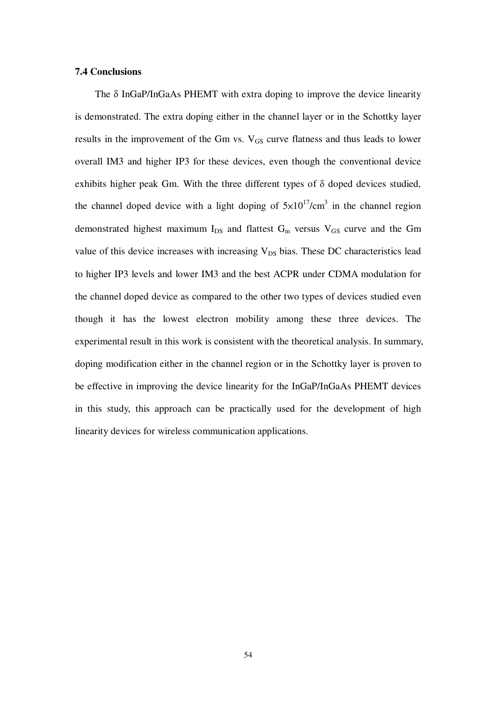### **7.4 Conclusions**

The δ InGaP/InGaAs PHEMT with extra doping to improve the device linearity is demonstrated. The extra doping either in the channel layer or in the Schottky layer results in the improvement of the Gm vs.  $V_{GS}$  curve flatness and thus leads to lower overall IM3 and higher IP3 for these devices, even though the conventional device exhibits higher peak Gm. With the three different types of δ doped devices studied, the channel doped device with a light doping of  $5 \times 10^{17}$ /cm<sup>3</sup> in the channel region demonstrated highest maximum  $I_{DS}$  and flattest  $G_m$  versus  $V_{GS}$  curve and the Gm value of this device increases with increasing  $V_{DS}$  bias. These DC characteristics lead to higher IP3 levels and lower IM3 and the best ACPR under CDMA modulation for the channel doped device as compared to the other two types of devices studied even though it has the lowest electron mobility among these three devices. The experimental result in this work is consistent with the theoretical analysis. In summary, doping modification either in the channel region or in the Schottky layer is proven to be effective in improving the device linearity for the InGaP/InGaAs PHEMT devices in this study, this approach can be practically used for the development of high linearity devices for wireless communication applications.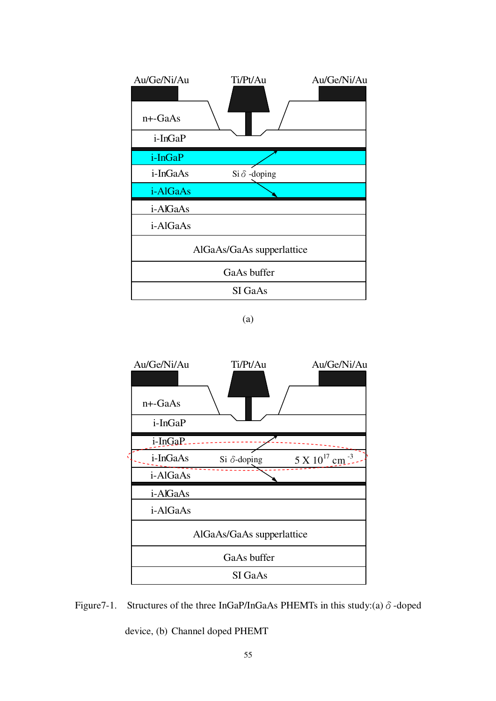| Au/Ge/Ni/Au           | Ti/Pt/Au                  | Au/Ge/Ni/Au |
|-----------------------|---------------------------|-------------|
| $n+$ -GaAs<br>i-InGaP |                           |             |
|                       |                           |             |
| i-InGaP               |                           |             |
| i-InGaAs              | $Si \delta$ -doping       |             |
| i-AlGaAs              |                           |             |
| i-AlGaAs              |                           |             |
| i-AlGaAs              |                           |             |
|                       | AlGaAs/GaAs supperlattice |             |
|                       | GaAs buffer               |             |
|                       | SI GaAs                   |             |

<sup>(</sup>a)



Figure 7-1. Structures of the three InGaP/InGaAs PHEMTs in this study:(a)  $\delta$ -doped

device, (b) Channel doped PHEMT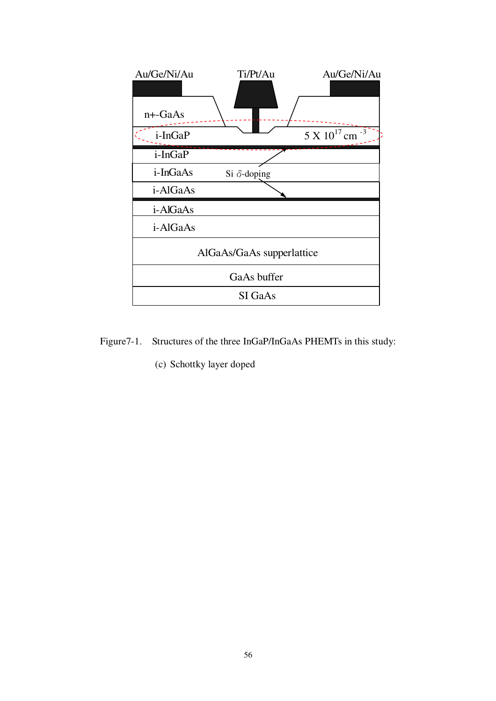

- Figure7-1. Structures of the three InGaP/InGaAs PHEMTs in this study:
	- (c) Schottky layer doped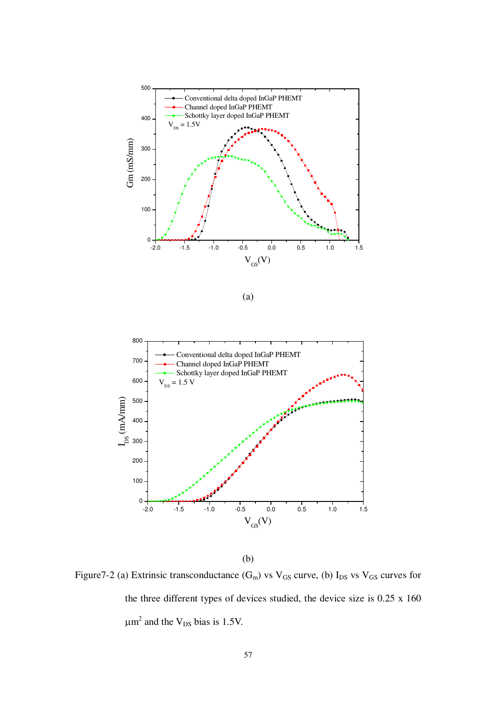



(b)

Figure 7-2 (a) Extrinsic transconductance  $(G_m)$  vs  $V_{GS}$  curve, (b)  $I_{DS}$  vs  $V_{GS}$  curves for the three different types of devices studied, the device size is 0.25 x 160  $\mu$ m<sup>2</sup> and the V<sub>DS</sub> bias is 1.5V.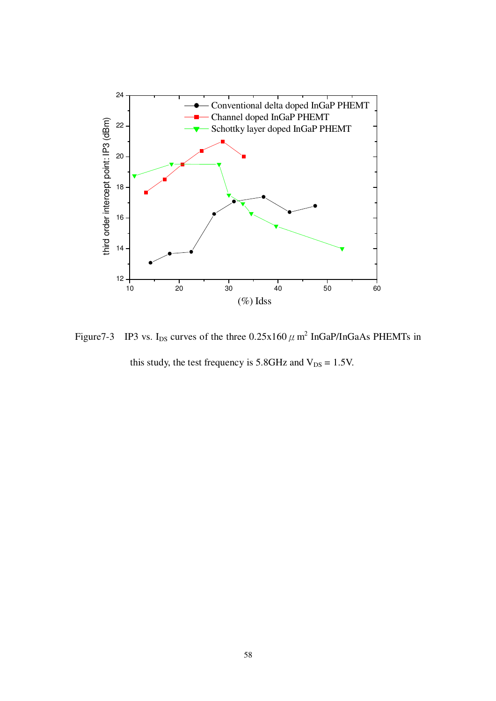

Figure7-3 IP3 vs. I<sub>DS</sub> curves of the three  $0.25x160 \mu$  m<sup>2</sup> InGaP/InGaAs PHEMTs in this study, the test frequency is  $5.8$ GHz and  $V_{DS} = 1.5$ V.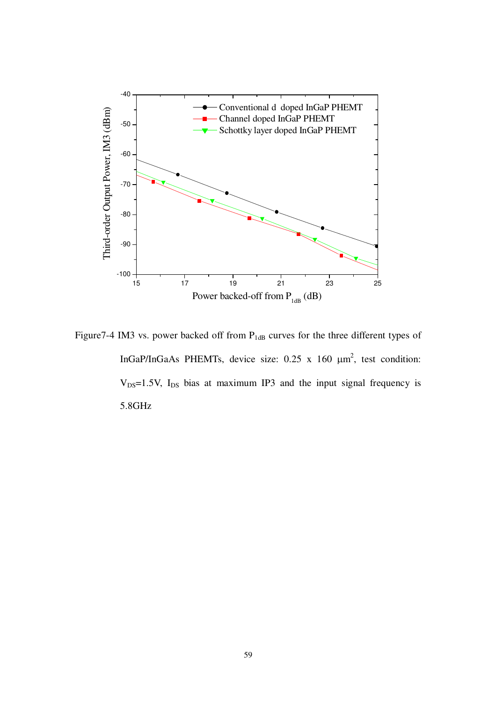

Figure7-4 IM3 vs. power backed off from P<sub>1dB</sub> curves for the three different types of InGaP/InGaAs PHEMTs, device size:  $0.25 \times 160 \mu m^2$ , test condition:  $V_{DS}=1.5V$ ,  $I_{DS}$  bias at maximum IP3 and the input signal frequency is 5.8GHz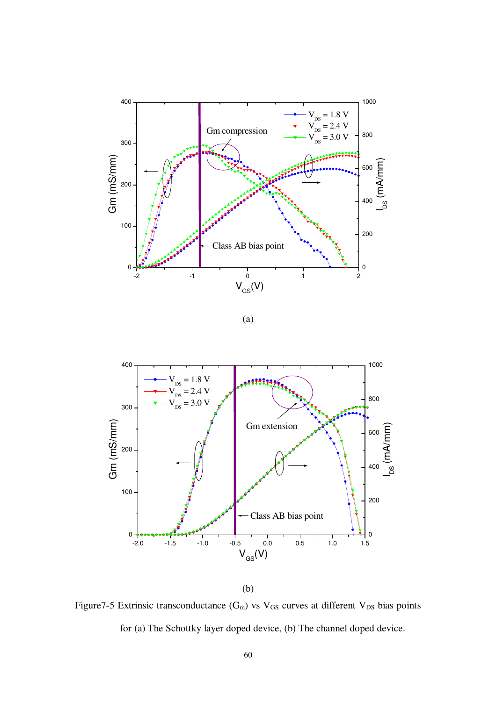



(b)

Figure7-5 Extrinsic transconductance  $(G_m)$  vs  $V_{GS}$  curves at different  $V_{DS}$  bias points for (a) The Schottky layer doped device, (b) The channel doped device.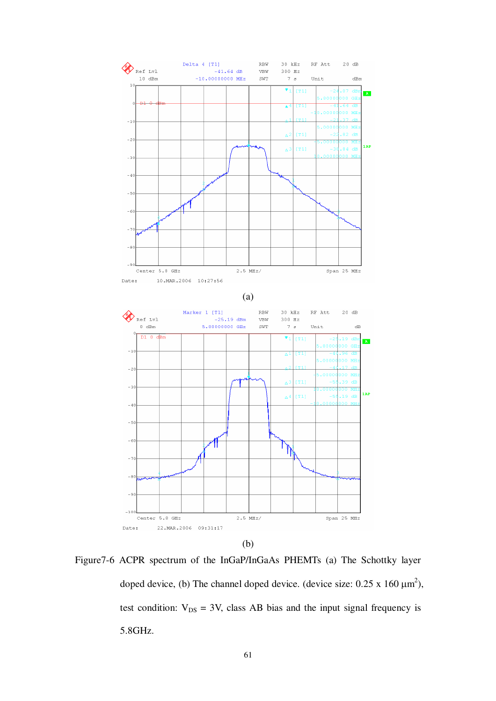

Figure7-6 ACPR spectrum of the InGaP/InGaAs PHEMTs (a) The Schottky layer doped device, (b) The channel doped device. (device size:  $0.25 \times 160 \mu m^2$ ), test condition:  $V_{DS} = 3V$ , class AB bias and the input signal frequency is 5.8GHz.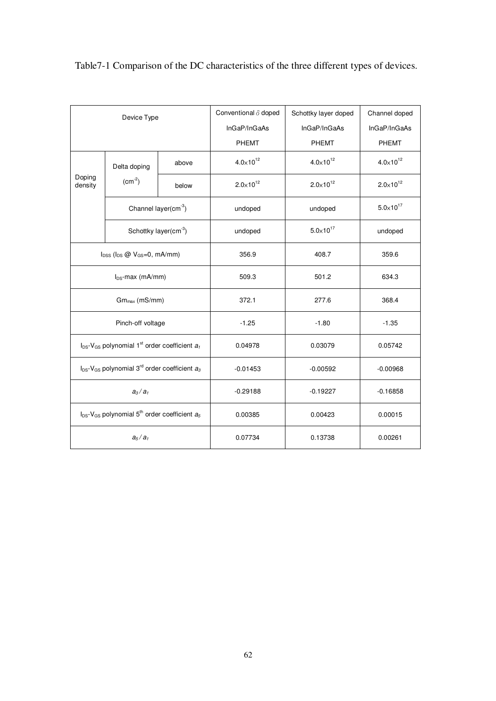| Device Type                                |                                                                              | Conventional $\delta$ doped | Schottky layer doped | Channel doped        |                      |
|--------------------------------------------|------------------------------------------------------------------------------|-----------------------------|----------------------|----------------------|----------------------|
|                                            |                                                                              |                             | InGaP/InGaAs         | InGaP/InGaAs         | InGaP/InGaAs         |
|                                            |                                                                              |                             | <b>PHEMT</b>         | <b>PHEMT</b>         | <b>PHEMT</b>         |
|                                            | Delta doping                                                                 | above                       | $4.0 \times 10^{12}$ | $4.0 \times 10^{12}$ | $4.0 \times 10^{12}$ |
| Doping<br>density                          | $(cm-2)$                                                                     | below                       | $2.0 \times 10^{12}$ | $2.0 \times 10^{12}$ | $2.0 \times 10^{12}$ |
|                                            |                                                                              | Channel layer $(cm-3)$      | undoped              | undoped              | $5.0 \times 10^{17}$ |
|                                            |                                                                              | Schottky layer $(cm-3)$     | undoped              | $5.0 \times 10^{17}$ | undoped              |
| $I_{DSS}$ ( $I_{DS}$ @ $V_{GS}=0$ , mA/mm) |                                                                              | 356.9                       | 408.7                | 359.6                |                      |
| $I_{DS}$ -max (mA/mm)                      |                                                                              | 509.3                       | 501.2                | 634.3                |                      |
| $Gmmax$ (mS/mm)                            |                                                                              | 372.1                       | 277.6                | 368.4                |                      |
|                                            | Pinch-off voltage                                                            |                             | $-1.25$              | $-1.80$              | $-1.35$              |
|                                            | $I_{DS}$ -V <sub>GS</sub> polynomial 1 <sup>st</sup> order coefficient $a_1$ |                             | 0.04978              | 0.03079              | 0.05742              |
|                                            | $I_{DS}$ -V <sub>GS</sub> polynomial 3 <sup>rd</sup> order coefficient $a_3$ |                             | $-0.01453$           | $-0.00592$           | $-0.00968$           |
|                                            | $a_3/a_1$                                                                    |                             | $-0.29188$           | $-0.19227$           | $-0.16858$           |
|                                            | $I_{DS}$ -V <sub>GS</sub> polynomial 5 <sup>th</sup> order coefficient $a_5$ |                             | 0.00385              | 0.00423              | 0.00015              |
|                                            | a <sub>5</sub> /a <sub>1</sub>                                               |                             | 0.07734              | 0.13738              | 0.00261              |

# Table7-1 Comparison of the DC characteristics of the three different types of devices.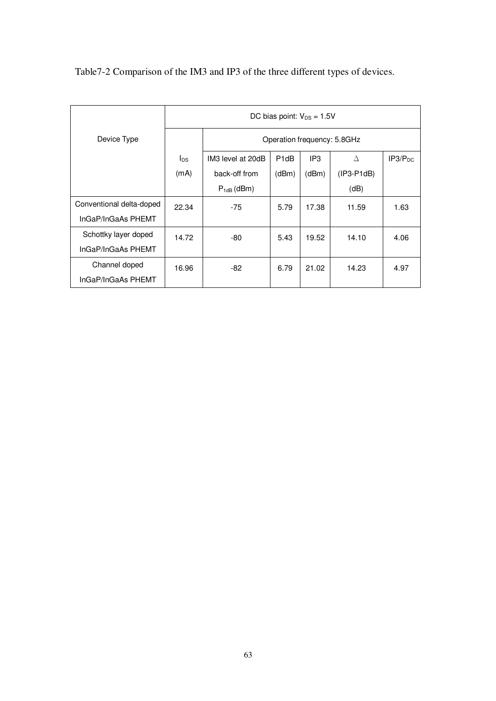|                          | DC bias point: $V_{DS} = 1.5V$ |                             |                   |                 |              |                     |
|--------------------------|--------------------------------|-----------------------------|-------------------|-----------------|--------------|---------------------|
| Device Type              |                                | Operation frequency: 5.8GHz |                   |                 |              |                     |
|                          | $I_{DS}$                       | IM3 level at 20dB           | P <sub>1</sub> dB | IP <sub>3</sub> | Δ            | IP3/P <sub>DC</sub> |
|                          | (mA)                           | back-off from               | (dBm)             | (dBm)           | $(IP3-P1dB)$ |                     |
|                          |                                | $P_{1dB}$ (dBm)             |                   |                 | (dB)         |                     |
| Conventional delta-doped | 22.34                          | $-75$                       | 5.79              | 17.38           | 11.59        | 1.63                |
| InGaP/InGaAs PHEMT       |                                |                             |                   |                 |              |                     |
| Schottky layer doped     | 14.72                          | -80                         | 5.43              | 19.52           | 14.10        | 4.06                |
| InGaP/InGaAs PHEMT       |                                |                             |                   |                 |              |                     |
| Channel doped            | 16.96                          | -82                         | 6.79              | 21.02           | 14.23        | 4.97                |
| InGaP/InGaAs PHEMT       |                                |                             |                   |                 |              |                     |

Table7-2 Comparison of the IM3 and IP3 of the three different types of devices.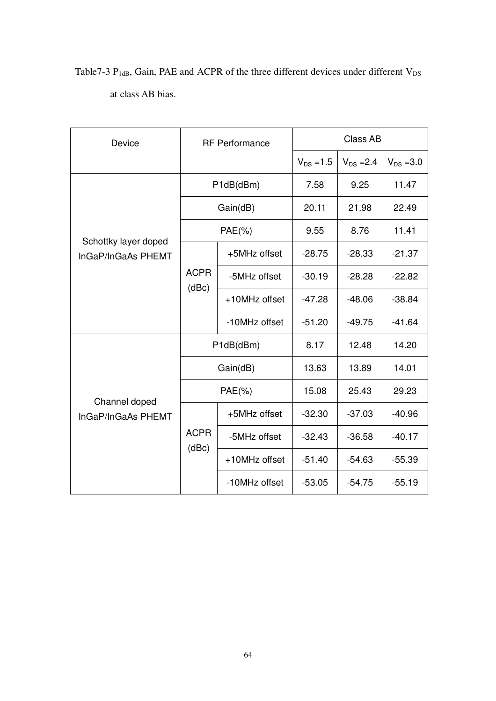| Table 7-3 $P_{1dB}$ , Gain, PAE and ACPR of the three different devices under different $V_{DS}$ |                   |  |  |  |  |  |
|--------------------------------------------------------------------------------------------------|-------------------|--|--|--|--|--|
|                                                                                                  | at class AB bias. |  |  |  |  |  |

| Device                                     | <b>RF</b> Performance |               | Class AB       |                |                |
|--------------------------------------------|-----------------------|---------------|----------------|----------------|----------------|
|                                            |                       |               | $V_{DS} = 1.5$ | $V_{DS} = 2.4$ | $V_{DS} = 3.0$ |
| Schottky layer doped<br>InGaP/InGaAs PHEMT | P1dB(dBm)             |               | 7.58           | 9.25           | 11.47          |
|                                            | Gain(dB)              |               | 20.11          | 21.98          | 22.49          |
|                                            | $PAE(\% )$            |               | 9.55           | 8.76           | 11.41          |
|                                            | <b>ACPR</b><br>(dBc)  | +5MHz offset  | $-28.75$       | $-28.33$       | $-21.37$       |
|                                            |                       | -5MHz offset  | $-30.19$       | $-28.28$       | $-22.82$       |
|                                            |                       | +10MHz offset | $-47.28$       | $-48.06$       | $-38.84$       |
|                                            |                       | -10MHz offset | $-51.20$       | $-49.75$       | $-41.64$       |
| Channel doped<br>InGaP/InGaAs PHEMT        | P1dB(dBm)             |               | 8.17           | 12.48          | 14.20          |
|                                            | Gain(dB)              |               | 13.63          | 13.89          | 14.01          |
|                                            | $PAE(\% )$            |               | 15.08          | 25.43          | 29.23          |
|                                            | <b>ACPR</b><br>(dBc)  | +5MHz offset  | $-32.30$       | $-37.03$       | $-40.96$       |
|                                            |                       | -5MHz offset  | $-32.43$       | $-36.58$       | $-40.17$       |
|                                            |                       | +10MHz offset | $-51.40$       | $-54.63$       | $-55.39$       |
|                                            |                       | -10MHz offset | $-53.05$       | $-54.75$       | $-55.19$       |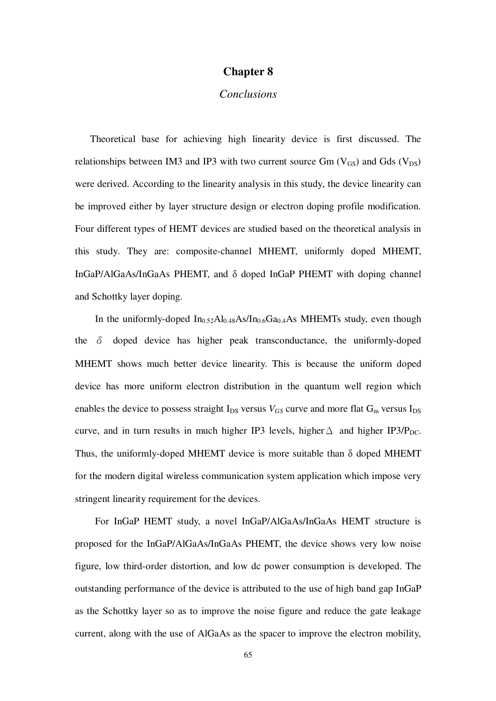## **Chapter 8**

### *Conclusions*

Theoretical base for achieving high linearity device is first discussed. The relationships between IM3 and IP3 with two current source  $Gm (V_{GS})$  and  $Gds (V_{DS})$ were derived. According to the linearity analysis in this study, the device linearity can be improved either by layer structure design or electron doping profile modification. Four different types of HEMT devices are studied based on the theoretical analysis in this study. They are: composite-channel MHEMT, uniformly doped MHEMT, InGaP/AlGaAs/InGaAs PHEMT, and δ doped InGaP PHEMT with doping channel and Schottky layer doping.

In the uniformly-doped  $In<sub>0.52</sub>Al<sub>0.48</sub>As/In<sub>0.6</sub>Ga<sub>0.4</sub>As MHEMTs study, even though$ the  $\delta$  doped device has higher peak transconductance, the uniformly-doped MHEMT shows much better device linearity. This is because the uniform doped device has more uniform electron distribution in the quantum well region which enables the device to possess straight  $I_{DS}$  versus  $V_{GS}$  curve and more flat  $G_m$  versus  $I_{DS}$ curve, and in turn results in much higher IP3 levels, higher  $\Delta$  and higher IP3/P<sub>DC</sub>. Thus, the uniformly-doped MHEMT device is more suitable than δ doped MHEMT for the modern digital wireless communication system application which impose very stringent linearity requirement for the devices.

For InGaP HEMT study, a novel InGaP/AlGaAs/InGaAs HEMT structure is proposed for the InGaP/AlGaAs/InGaAs PHEMT, the device shows very low noise figure, low third-order distortion, and low dc power consumption is developed. The outstanding performance of the device is attributed to the use of high band gap InGaP as the Schottky layer so as to improve the noise figure and reduce the gate leakage current, along with the use of AlGaAs as the spacer to improve the electron mobility,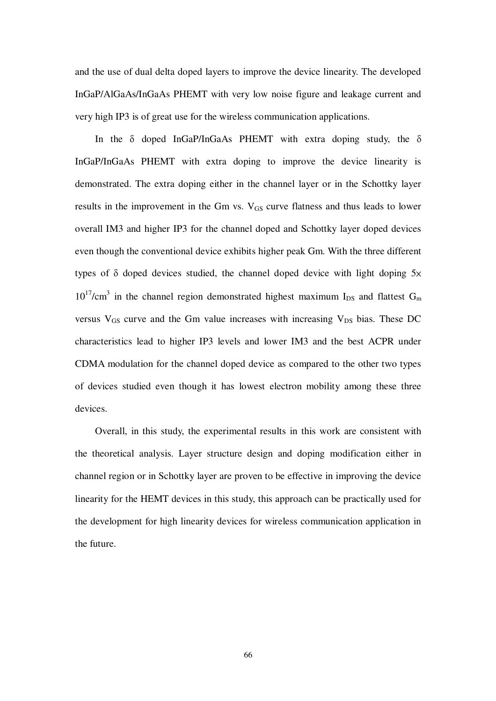and the use of dual delta doped layers to improve the device linearity. The developed InGaP/AlGaAs/InGaAs PHEMT with very low noise figure and leakage current and very high IP3 is of great use for the wireless communication applications.

In the δ doped InGaP/InGaAs PHEMT with extra doping study, the δ InGaP/InGaAs PHEMT with extra doping to improve the device linearity is demonstrated. The extra doping either in the channel layer or in the Schottky layer results in the improvement in the Gm vs.  $V_{GS}$  curve flatness and thus leads to lower overall IM3 and higher IP3 for the channel doped and Schottky layer doped devices even though the conventional device exhibits higher peak Gm. With the three different types of  $\delta$  doped devices studied, the channel doped device with light doping  $5x$  $10^{17}$ /cm<sup>3</sup> in the channel region demonstrated highest maximum I<sub>DS</sub> and flattest G<sub>m</sub> versus  $V_{GS}$  curve and the Gm value increases with increasing  $V_{DS}$  bias. These DC characteristics lead to higher IP3 levels and lower IM3 and the best ACPR under CDMA modulation for the channel doped device as compared to the other two types of devices studied even though it has lowest electron mobility among these three devices.

Overall, in this study, the experimental results in this work are consistent with the theoretical analysis. Layer structure design and doping modification either in channel region or in Schottky layer are proven to be effective in improving the device linearity for the HEMT devices in this study, this approach can be practically used for the development for high linearity devices for wireless communication application in the future.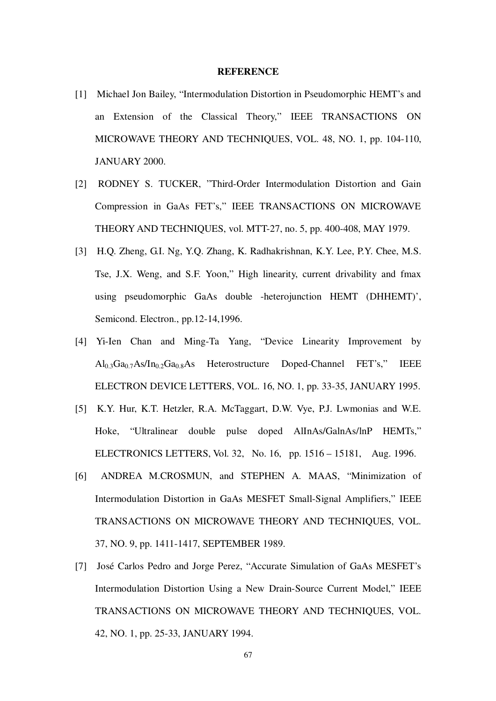#### **REFERENCE**

- [1] Michael Jon Bailey, "Intermodulation Distortion in Pseudomorphic HEMT's and an Extension of the Classical Theory," IEEE TRANSACTIONS ON MICROWAVE THEORY AND TECHNIQUES, VOL. 48, NO. 1, pp. 104-110, JANUARY 2000.
- [2] RODNEY S. TUCKER, "Third-Order Intermodulation Distortion and Gain Compression in GaAs FET's," IEEE TRANSACTIONS ON MICROWAVE THEORY AND TECHNIQUES, vol. MTT-27, no. 5, pp. 400-408, MAY 1979.
- [3] H.Q. Zheng, G.I. Ng, Y.Q. Zhang, K. Radhakrishnan, K.Y. Lee, P.Y. Chee, M.S. Tse, J.X. Weng, and S.F. Yoon," High linearity, current drivability and fmax using pseudomorphic GaAs double -heterojunction HEMT (DHHEMT)', Semicond. Electron., pp.12-14,1996.
- [4] Yi-Ien Chan and Ming-Ta Yang, "Device Linearity Improvement by  $\text{Al}_{0.3}\text{Ga}_{0.7}\text{As}/\text{In}_{0.2}\text{Ga}_{0.8}\text{As}$  Heterostructure Doped-Channel FET's," IEEE ELECTRON DEVICE LETTERS, VOL. 16, NO. 1, pp. 33-35, JANUARY 1995.
- [5] K.Y. Hur, K.T. Hetzler, R.A. McTaggart, D.W. Vye, P.J. Lwmonias and W.E. Hoke, "Ultralinear double pulse doped AlInAs/GalnAs/lnP HEMTs," ELECTRONICS LETTERS, Vol. 32, No. 16, pp. 1516 – 15181, Aug. 1996.
- [6] ANDREA M.CROSMUN, and STEPHEN A. MAAS, "Minimization of Intermodulation Distortion in GaAs MESFET Small-Signal Amplifiers," IEEE TRANSACTIONS ON MICROWAVE THEORY AND TECHNIQUES, VOL. 37, NO. 9, pp. 1411-1417, SEPTEMBER 1989.
- [7] José Carlos Pedro and Jorge Perez, " Accurate Simulation of GaAs MESFET's Intermodulation Distortion Using a New Drain-Source Current Model," IEEE TRANSACTIONS ON MICROWAVE THEORY AND TECHNIQUES, VOL. 42, NO. 1, pp. 25-33, JANUARY 1994.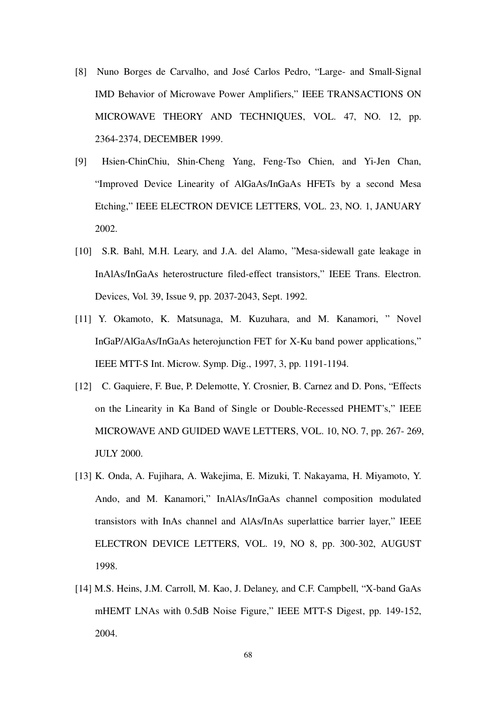- [8] Nuno Borges de Carvalho, and José Carlos Pedro, "Large- and Small-Signal IMD Behavior of Microwave Power Amplifiers," IEEE TRANSACTIONS ON MICROWAVE THEORY AND TECHNIQUES, VOL. 47, NO. 12, pp. 2364-2374, DECEMBER 1999.
- [9] Hsien-ChinChiu, Shin-Cheng Yang, Feng-Tso Chien, and Yi-Jen Chan, "Improved Device Linearity of AlGaAs/InGaAs HFETs by a second Mesa Etching," IEEE ELECTRON DEVICE LETTERS, VOL. 23, NO. 1, JANUARY 2002.
- [10] S.R. Bahl, M.H. Leary, and J.A. del Alamo, "Mesa-sidewall gate leakage in InAlAs/InGaAs heterostructure filed-effect transistors," IEEE Trans. Electron. Devices, Vol. 39, Issue 9, pp. 2037-2043, Sept. 1992.
- [11] Y. Okamoto, K. Matsunaga, M. Kuzuhara, and M. Kanamori, " Novel InGaP/AlGaAs/InGaAs heterojunction FET for X-Ku band power applications," IEEE MTT-S Int. Microw. Symp. Dig., 1997, 3, pp. 1191-1194.
- [12] C. Gaquiere, F. Bue, P. Delemotte, Y. Crosnier, B. Carnez and D. Pons, "Effects" on the Linearity in Ka Band of Single or Double-Recessed PHEMT's," IEEE MICROWAVE AND GUIDED WAVE LETTERS, VOL. 10, NO. 7, pp. 267- 269, JULY 2000.
- [13] K. Onda, A. Fujihara, A. Wakejima, E. Mizuki, T. Nakayama, H. Miyamoto, Y. Ando, and M. Kanamori," InAlAs/InGaAs channel composition modulated transistors with InAs channel and AlAs/InAs superlattice barrier layer," IEEE ELECTRON DEVICE LETTERS, VOL. 19, NO 8, pp. 300-302, AUGUST 1998.
- [14] M.S. Heins, J.M. Carroll, M. Kao, J. Delaney, and C.F. Campbell, "X-band GaAs mHEMT LNAs with 0.5dB Noise Figure," IEEE MTT-S Digest, pp. 149-152, 2004.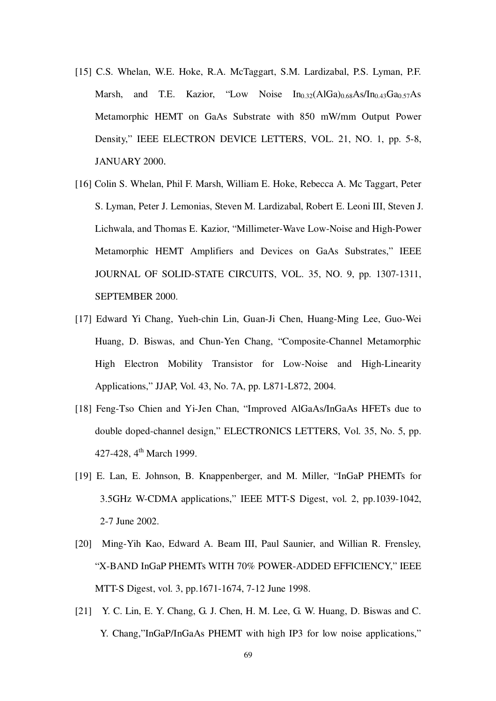- [15] C.S. Whelan, W.E. Hoke, R.A. McTaggart, S.M. Lardizabal, P.S. Lyman, P.F. Marsh, and T.E. Kazior, "Low Noise  $In_{0.32}(AlGa)_{0.68}As/In_{0.43}Ga_{0.57}As$ Metamorphic HEMT on GaAs Substrate with 850 mW/mm Output Power Density," IEEE ELECTRON DEVICE LETTERS, VOL. 21, NO. 1, pp. 5-8, JANUARY 2000.
- [16] Colin S. Whelan, Phil F. Marsh, William E. Hoke, Rebecca A. Mc Taggart, Peter S. Lyman, Peter J. Lemonias, Steven M. Lardizabal, Robert E. Leoni III, Steven J. Lichwala, and Thomas E. Kazior, "Millimeter-Wave Low-Noise and High-Power Metamorphic HEMT Amplifiers and Devices on GaAs Substrates," IEEE JOURNAL OF SOLID-STATE CIRCUITS, VOL. 35, NO. 9, pp. 1307-1311, SEPTEMBER 2000.
- [17] Edward Yi Chang, Yueh-chin Lin, Guan-Ji Chen, Huang-Ming Lee, Guo-Wei Huang, D. Biswas, and Chun-Yen Chang, "Composite-Channel Metamorphic High Electron Mobility Transistor for Low-Noise and High-Linearity Applications," JJAP, Vol. 43, No. 7A, pp. L871-L872, 2004.
- [18] Feng-Tso Chien and Yi-Jen Chan, "Improved AlGaAs/InGaAs HFETs due to double doped-channel design," ELECTRONICS LETTERS, Vol. 35, No. 5, pp. 427-428, 4<sup>th</sup> March 1999.
- [19] E. Lan, E. Johnson, B. Knappenberger, and M. Miller, "InGaP PHEMTs for 3.5GHz W-CDMA applications," IEEE MTT-S Digest, vol. 2, pp.1039-1042, 2-7 June 2002.
- [20] Ming-Yih Kao, Edward A. Beam III, Paul Saunier, and Willian R. Frensley, "X-BAND InGaP PHEMTs WITH 70% POWER-ADDED EFFICIENCY," IEEE MTT-S Digest, vol. 3, pp.1671-1674, 7-12 June 1998.
- [21] Y. C. Lin, E. Y. Chang, G. J. Chen, H. M. Lee, G. W. Huang, D. Biswas and C. Y. Chang,"InGaP/InGaAs PHEMT with high IP3 for low noise applications,"